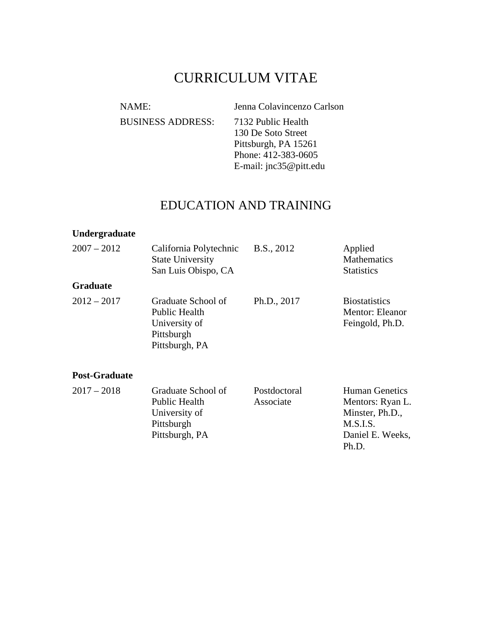# CURRICULUM VITAE

NAME: Jenna Colavincenzo Carlson BUSINESS ADDRESS: 7132 Public Health 130 De Soto Street Pittsburgh, PA 15261 Phone: 412-383-0605 E-mail: jnc35@pitt.edu

### EDUCATION AND TRAINING

#### **Undergraduate**

| $2007 - 2012$<br>California Polytechnic<br><b>State University</b><br>San Luis Obispo, CA |                                                                                      | B.S., 2012                | Applied<br><b>Mathematics</b><br><b>Statistics</b>                                           |
|-------------------------------------------------------------------------------------------|--------------------------------------------------------------------------------------|---------------------------|----------------------------------------------------------------------------------------------|
| <b>Graduate</b>                                                                           |                                                                                      |                           |                                                                                              |
| $2012 - 2017$                                                                             | Graduate School of<br>Public Health<br>University of<br>Pittsburgh<br>Pittsburgh, PA | Ph.D., 2017               | <b>Biostatistics</b><br>Mentor: Eleanor<br>Feingold, Ph.D.                                   |
| <b>Post-Graduate</b>                                                                      |                                                                                      |                           |                                                                                              |
| $2017 - 2018$                                                                             | Graduate School of<br>Public Health<br>University of<br>Pittsburgh<br>Pittsburgh, PA | Postdoctoral<br>Associate | <b>Human Genetics</b><br>Mentors: Ryan L.<br>Minster, Ph.D.,<br>M.S.I.S.<br>Daniel E. Weeks, |

Ph.D.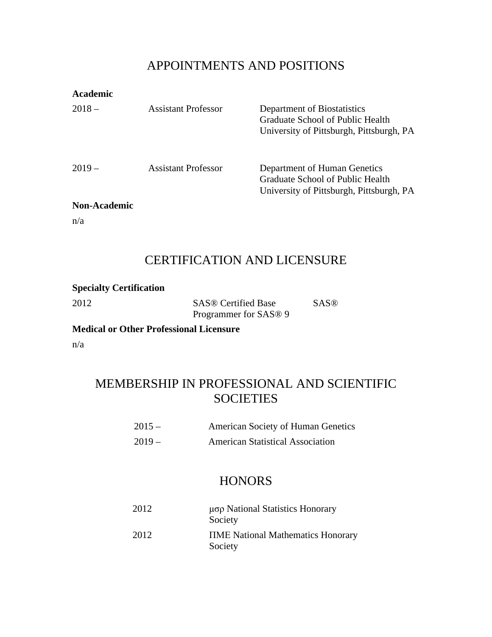### APPOINTMENTS AND POSITIONS

| <b>Academic</b>     |                     |                                                                                                              |
|---------------------|---------------------|--------------------------------------------------------------------------------------------------------------|
| $2018 -$            | Assistant Professor | Department of Biostatistics<br>Graduate School of Public Health<br>University of Pittsburgh, Pittsburgh, PA  |
| $2019-$             | Assistant Professor | Department of Human Genetics<br>Graduate School of Public Health<br>University of Pittsburgh, Pittsburgh, PA |
| <b>Non-Academic</b> |                     |                                                                                                              |

n/a

## CERTIFICATION AND LICENSURE

| <b>Specialty Certification</b> |                                   |             |
|--------------------------------|-----------------------------------|-------------|
| 2012                           | <b>SAS®</b> Certified Base        | <b>SAS®</b> |
|                                | Programmer for SAS <sup>®</sup> 9 |             |

**Medical or Other Professional Licensure**

n/a

## MEMBERSHIP IN PROFESSIONAL AND SCIENTIFIC **SOCIETIES**

| $2015 -$ | American Society of Human Genetics      |
|----------|-----------------------------------------|
| $2019-$  | <b>American Statistical Association</b> |

## **HONORS**

| 2012 | μσρ National Statistics Honorary<br>Society          |
|------|------------------------------------------------------|
| 2012 | <b>TIME</b> National Mathematics Honorary<br>Society |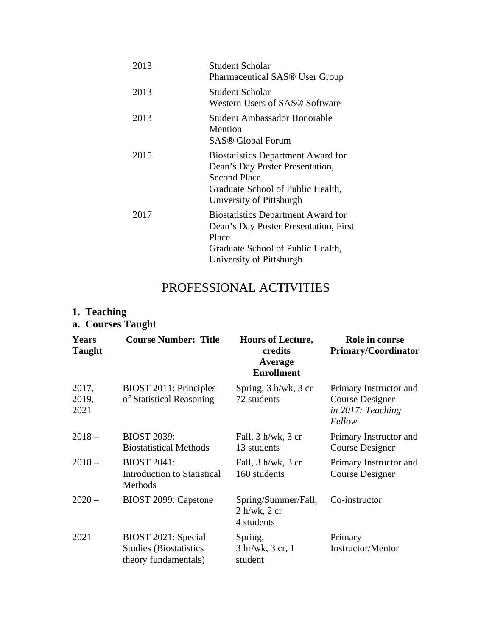| 2013 | Student Scholar<br><b>Pharmaceutical SAS® User Group</b>                                                                                                      |
|------|---------------------------------------------------------------------------------------------------------------------------------------------------------------|
| 2013 | Student Scholar<br>Western Users of SAS® Software                                                                                                             |
| 2013 | Student Ambassador Honorable<br>Mention<br>SAS® Global Forum                                                                                                  |
| 2015 | <b>Biostatistics Department Award for</b><br>Dean's Day Poster Presentation,<br>Second Place<br>Graduate School of Public Health,<br>University of Pittsburgh |
| 2017 | <b>Biostatistics Department Award for</b><br>Dean's Day Poster Presentation, First<br>Place<br>Graduate School of Public Health,<br>University of Pittsburgh  |

## PROFESSIONAL ACTIVITIES

# **1. Teaching**

|  | a. Courses Taught |  |
|--|-------------------|--|
|--|-------------------|--|

| <b>Years</b><br><b>Taught</b> | <b>Course Number: Title</b>                                                  | <b>Hours of Lecture,</b><br>credits<br>Average<br><b>Enrollment</b> | Role in course<br><b>Primary/Coordinator</b>                             |
|-------------------------------|------------------------------------------------------------------------------|---------------------------------------------------------------------|--------------------------------------------------------------------------|
| 2017,<br>2019,<br>2021        | BIOST 2011: Principles<br>of Statistical Reasoning                           | Spring, 3 h/wk, 3 cr<br>72 students                                 | Primary Instructor and<br>Course Designer<br>in 2017: Teaching<br>Fellow |
| $2018 -$                      | <b>BIOST 2039:</b><br><b>Biostatistical Methods</b>                          | Fall, $3 h/wk$ , $3 cr$<br>13 students                              | Primary Instructor and<br>Course Designer                                |
| $2018 -$                      | <b>BIOST 2041:</b><br><b>Introduction to Statistical</b><br>Methods          | Fall, $3 h/wk$ , $3 cr$<br>160 students                             | Primary Instructor and<br>Course Designer                                |
| $2020 -$                      | BIOST 2099: Capstone                                                         | Spring/Summer/Fall,<br>$2 h/wk$ , $2 cr$<br>4 students              | Co-instructor                                                            |
| 2021                          | BIOST 2021: Special<br><b>Studies (Biostatistics</b><br>theory fundamentals) | Spring,<br>3 hr/wk, 3 cr, 1<br>student                              | Primary<br><b>Instructor/Mentor</b>                                      |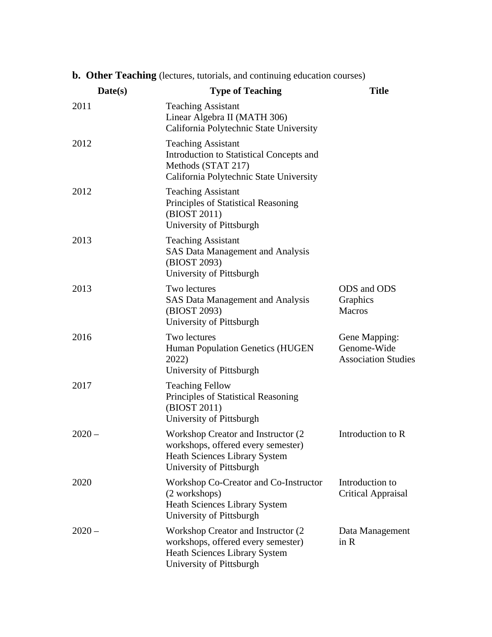| <b>b. Other Teaching</b> (lectures, tutorials, and continuing education courses) |  |
|----------------------------------------------------------------------------------|--|
|----------------------------------------------------------------------------------|--|

| Date(s)  | <b>Type of Teaching</b>                                                                                                                       | <b>Title</b>                                               |
|----------|-----------------------------------------------------------------------------------------------------------------------------------------------|------------------------------------------------------------|
| 2011     | <b>Teaching Assistant</b><br>Linear Algebra II (MATH 306)<br>California Polytechnic State University                                          |                                                            |
| 2012     | <b>Teaching Assistant</b><br>Introduction to Statistical Concepts and<br>Methods (STAT 217)<br>California Polytechnic State University        |                                                            |
| 2012     | <b>Teaching Assistant</b><br>Principles of Statistical Reasoning<br>(BIOST 2011)<br>University of Pittsburgh                                  |                                                            |
| 2013     | <b>Teaching Assistant</b><br><b>SAS Data Management and Analysis</b><br>(BIOST 2093)<br>University of Pittsburgh                              |                                                            |
| 2013     | Two lectures<br><b>SAS Data Management and Analysis</b><br>(BIOST 2093)<br>University of Pittsburgh                                           | ODS and ODS<br>Graphics<br><b>Macros</b>                   |
| 2016     | Two lectures<br>Human Population Genetics (HUGEN<br>2022)<br>University of Pittsburgh                                                         | Gene Mapping:<br>Genome-Wide<br><b>Association Studies</b> |
| 2017     | <b>Teaching Fellow</b><br>Principles of Statistical Reasoning<br>(BIOST 2011)<br>University of Pittsburgh                                     |                                                            |
| $2020 -$ | Workshop Creator and Instructor (2)<br>workshops, offered every semester)<br><b>Heath Sciences Library System</b><br>University of Pittsburgh | Introduction to R                                          |
| 2020     | Workshop Co-Creator and Co-Instructor<br>(2 workshops)<br><b>Heath Sciences Library System</b><br>University of Pittsburgh                    | Introduction to<br><b>Critical Appraisal</b>               |
| $2020 -$ | Workshop Creator and Instructor (2)<br>workshops, offered every semester)<br><b>Heath Sciences Library System</b><br>University of Pittsburgh | Data Management<br>in R                                    |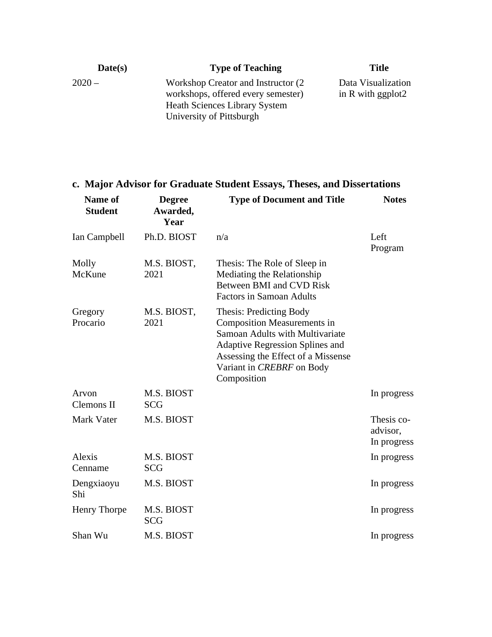| Date(s)  | <b>Type of Teaching</b>                                                    | <b>Title</b>        |
|----------|----------------------------------------------------------------------------|---------------------|
| $2020 -$ | Workshop Creator and Instructor (2)                                        | Data Visualization  |
|          | workshops, offered every semester)<br><b>Heath Sciences Library System</b> | in R with $ggplot2$ |
|          | University of Pittsburgh                                                   |                     |

## **c. Major Advisor for Graduate Student Essays, Theses, and Dissertations**

| Name of<br><b>Student</b> | <b>Degree</b><br>Awarded,<br>Year | <b>Type of Document and Title</b>                                                                                                                                                                                                   | <b>Notes</b>                          |
|---------------------------|-----------------------------------|-------------------------------------------------------------------------------------------------------------------------------------------------------------------------------------------------------------------------------------|---------------------------------------|
| Ian Campbell              | Ph.D. BIOST                       | n/a                                                                                                                                                                                                                                 | Left<br>Program                       |
| Molly<br>McKune           | M.S. BIOST,<br>2021               | Thesis: The Role of Sleep in<br>Mediating the Relationship<br>Between BMI and CVD Risk<br><b>Factors in Samoan Adults</b>                                                                                                           |                                       |
| Gregory<br>Procario       | M.S. BIOST,<br>2021               | <b>Thesis: Predicting Body</b><br><b>Composition Measurements in</b><br>Samoan Adults with Multivariate<br><b>Adaptive Regression Splines and</b><br>Assessing the Effect of a Missense<br>Variant in CREBRF on Body<br>Composition |                                       |
| Arvon<br>Clemons II       | M.S. BIOST<br><b>SCG</b>          |                                                                                                                                                                                                                                     | In progress                           |
| <b>Mark Vater</b>         | M.S. BIOST                        |                                                                                                                                                                                                                                     | Thesis co-<br>advisor,<br>In progress |
| Alexis<br>Cenname         | M.S. BIOST<br><b>SCG</b>          |                                                                                                                                                                                                                                     | In progress                           |
| Dengxiaoyu<br>Shi         | M.S. BIOST                        |                                                                                                                                                                                                                                     | In progress                           |
| Henry Thorpe              | M.S. BIOST<br><b>SCG</b>          |                                                                                                                                                                                                                                     | In progress                           |
| Shan Wu                   | M.S. BIOST                        |                                                                                                                                                                                                                                     | In progress                           |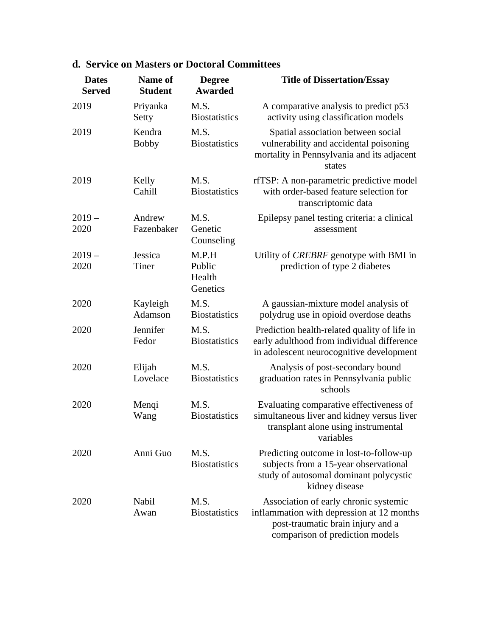| <b>Dates</b><br><b>Served</b> | Name of<br><b>Student</b> | <b>Degree</b><br><b>Awarded</b>       | <b>Title of Dissertation/Essay</b>                                                                                                                         |
|-------------------------------|---------------------------|---------------------------------------|------------------------------------------------------------------------------------------------------------------------------------------------------------|
| 2019                          | Priyanka<br>Setty         | M.S.<br><b>Biostatistics</b>          | A comparative analysis to predict p53<br>activity using classification models                                                                              |
| 2019                          | Kendra<br><b>Bobby</b>    | M.S.<br><b>Biostatistics</b>          | Spatial association between social<br>vulnerability and accidental poisoning<br>mortality in Pennsylvania and its adjacent<br>states                       |
| 2019                          | Kelly<br>Cahill           | M.S.<br><b>Biostatistics</b>          | rfTSP: A non-parametric predictive model<br>with order-based feature selection for<br>transcriptomic data                                                  |
| $2019 -$<br>2020              | Andrew<br>Fazenbaker      | M.S.<br>Genetic<br>Counseling         | Epilepsy panel testing criteria: a clinical<br>assessment                                                                                                  |
| $2019 -$<br>2020              | Jessica<br>Tiner          | M.P.H<br>Public<br>Health<br>Genetics | Utility of <i>CREBRF</i> genotype with BMI in<br>prediction of type 2 diabetes                                                                             |
| 2020                          | Kayleigh<br>Adamson       | M.S.<br><b>Biostatistics</b>          | A gaussian-mixture model analysis of<br>polydrug use in opioid overdose deaths                                                                             |
| 2020                          | Jennifer<br>Fedor         | M.S.<br><b>Biostatistics</b>          | Prediction health-related quality of life in<br>early adulthood from individual difference<br>in adolescent neurocognitive development                     |
| 2020                          | Elijah<br>Lovelace        | M.S.<br><b>Biostatistics</b>          | Analysis of post-secondary bound<br>graduation rates in Pennsylvania public<br>schools                                                                     |
| 2020                          | Menqi<br>Wang             | M.S.<br><b>Biostatistics</b>          | Evaluating comparative effectiveness of<br>simultaneous liver and kidney versus liver<br>transplant alone using instrumental<br>variables                  |
| 2020                          | Anni Guo                  | M.S.<br><b>Biostatistics</b>          | Predicting outcome in lost-to-follow-up<br>subjects from a 15-year observational<br>study of autosomal dominant polycystic<br>kidney disease               |
| 2020                          | Nabil<br>Awan             | M.S.<br><b>Biostatistics</b>          | Association of early chronic systemic<br>inflammation with depression at 12 months<br>post-traumatic brain injury and a<br>comparison of prediction models |

### **d. Service on Masters or Doctoral Committees**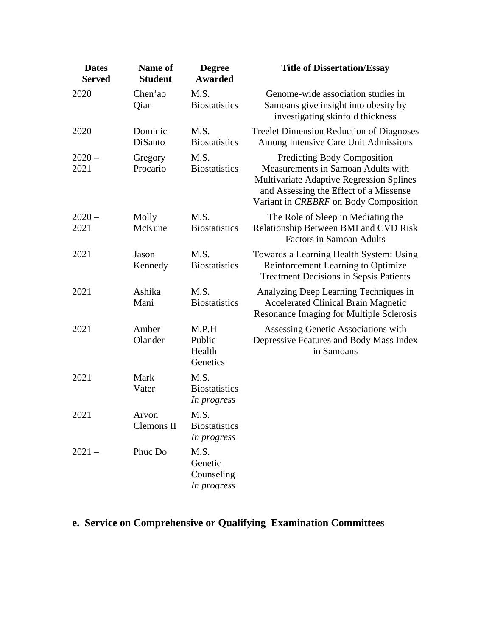| <b>Dates</b><br><b>Served</b> | Name of<br><b>Student</b> | <b>Degree</b><br><b>Awarded</b>              | <b>Title of Dissertation/Essay</b>                                                                                                                                                               |
|-------------------------------|---------------------------|----------------------------------------------|--------------------------------------------------------------------------------------------------------------------------------------------------------------------------------------------------|
| 2020                          | Chen'ao<br>Qian           | M.S.<br><b>Biostatistics</b>                 | Genome-wide association studies in<br>Samoans give insight into obesity by<br>investigating skinfold thickness                                                                                   |
| 2020                          | Dominic<br>DiSanto        | M.S.<br><b>Biostatistics</b>                 | <b>Treelet Dimension Reduction of Diagnoses</b><br>Among Intensive Care Unit Admissions                                                                                                          |
| $2020 -$<br>2021              | Gregory<br>Procario       | M.S.<br><b>Biostatistics</b>                 | Predicting Body Composition<br>Measurements in Samoan Adults with<br>Multivariate Adaptive Regression Splines<br>and Assessing the Effect of a Missense<br>Variant in CREBRF on Body Composition |
| $2020 -$<br>2021              | Molly<br>McKune           | M.S.<br><b>Biostatistics</b>                 | The Role of Sleep in Mediating the<br>Relationship Between BMI and CVD Risk<br><b>Factors in Samoan Adults</b>                                                                                   |
| 2021                          | Jason<br>Kennedy          | M.S.<br><b>Biostatistics</b>                 | Towards a Learning Health System: Using<br>Reinforcement Learning to Optimize<br><b>Treatment Decisions in Sepsis Patients</b>                                                                   |
| 2021                          | Ashika<br>Mani            | M.S.<br><b>Biostatistics</b>                 | Analyzing Deep Learning Techniques in<br><b>Accelerated Clinical Brain Magnetic</b><br>Resonance Imaging for Multiple Sclerosis                                                                  |
| 2021                          | Amber<br>Olander          | M.P.H<br>Public<br>Health<br>Genetics        | Assessing Genetic Associations with<br>Depressive Features and Body Mass Index<br>in Samoans                                                                                                     |
| 2021                          | Mark<br>Vater             | M.S.<br><b>Biostatistics</b><br>In progress  |                                                                                                                                                                                                  |
| 2021                          | Arvon<br>Clemons II       | M.S.<br><b>Biostatistics</b><br>In progress  |                                                                                                                                                                                                  |
| $2021 -$                      | Phuc Do                   | M.S.<br>Genetic<br>Counseling<br>In progress |                                                                                                                                                                                                  |

# **e. Service on Comprehensive or Qualifying Examination Committees**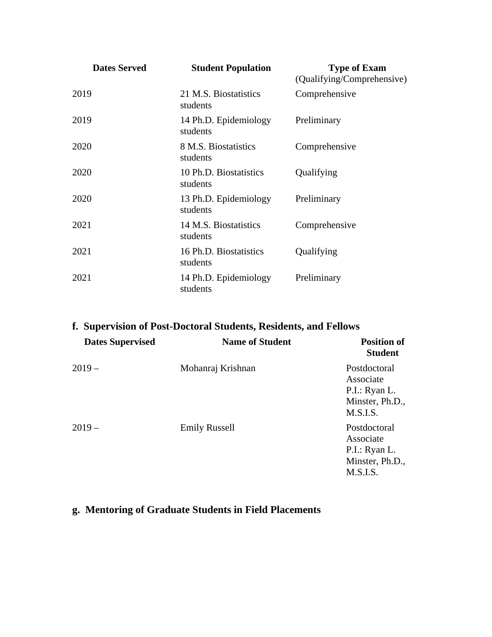| <b>Dates Served</b> | <b>Student Population</b>          | <b>Type of Exam</b><br>(Qualifying/Comprehensive) |
|---------------------|------------------------------------|---------------------------------------------------|
| 2019                | 21 M.S. Biostatistics<br>students  | Comprehensive                                     |
| 2019                | 14 Ph.D. Epidemiology<br>students  | Preliminary                                       |
| 2020                | 8 M.S. Biostatistics<br>students   | Comprehensive                                     |
| 2020                | 10 Ph.D. Biostatistics<br>students | Qualifying                                        |
| 2020                | 13 Ph.D. Epidemiology<br>students  | Preliminary                                       |
| 2021                | 14 M.S. Biostatistics<br>students  | Comprehensive                                     |
| 2021                | 16 Ph.D. Biostatistics<br>students | Qualifying                                        |
| 2021                | 14 Ph.D. Epidemiology<br>students  | Preliminary                                       |

| f. Supervision of Post-Doctoral Students, Residents, and Fellows |                        |                                                                           |  |  |
|------------------------------------------------------------------|------------------------|---------------------------------------------------------------------------|--|--|
| <b>Dates Supervised</b>                                          | <b>Name of Student</b> | <b>Position of</b><br><b>Student</b>                                      |  |  |
| $2019-$                                                          | Mohanraj Krishnan      | Postdoctoral<br>Associate<br>P.I.: Ryan L.<br>Minster, Ph.D.,<br>M.S.I.S. |  |  |
| $2019-$                                                          | <b>Emily Russell</b>   | Postdoctoral<br>Associate<br>P.I.: Ryan L.<br>Minster, Ph.D.,<br>M.S.I.S. |  |  |

## **g. Mentoring of Graduate Students in Field Placements**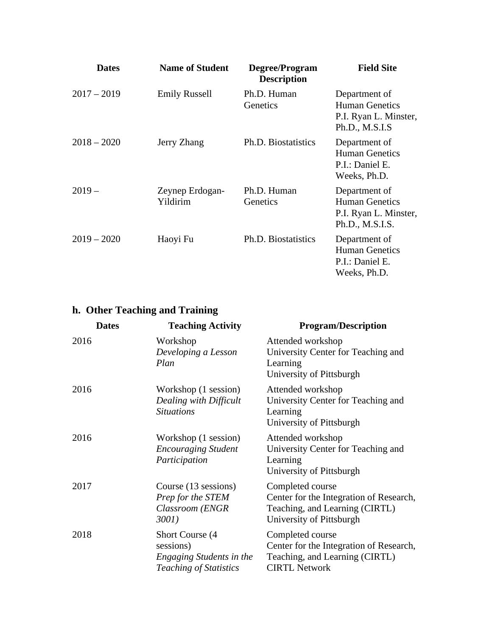| <b>Dates</b>  | <b>Name of Student</b>      | Degree/Program<br><b>Description</b> | <b>Field Site</b>                                                                  |
|---------------|-----------------------------|--------------------------------------|------------------------------------------------------------------------------------|
| $2017 - 2019$ | <b>Emily Russell</b>        | Ph.D. Human<br>Genetics              | Department of<br><b>Human Genetics</b><br>P.I. Ryan L. Minster,<br>Ph.D., M.S.I.S  |
| $2018 - 2020$ | Jerry Zhang                 | Ph.D. Biostatistics                  | Department of<br><b>Human Genetics</b><br>P.I.: Daniel E.<br>Weeks, Ph.D.          |
| $2019-$       | Zeynep Erdogan-<br>Yildirim | Ph.D. Human<br>Genetics              | Department of<br><b>Human Genetics</b><br>P.I. Ryan L. Minster,<br>Ph.D., M.S.I.S. |
| $2019 - 2020$ | Haoyi Fu                    | Ph.D. Biostatistics                  | Department of<br><b>Human Genetics</b><br>P.I.: Daniel E.<br>Weeks, Ph.D.          |

## **h. Other Teaching and Training**

| <b>Dates</b> | <b>Teaching Activity</b>                                                                          | <b>Program/Description</b>                                                                                                |
|--------------|---------------------------------------------------------------------------------------------------|---------------------------------------------------------------------------------------------------------------------------|
| 2016         | Workshop<br>Developing a Lesson<br>Plan                                                           | Attended workshop<br>University Center for Teaching and<br>Learning<br>University of Pittsburgh                           |
| 2016         | Workshop (1 session)<br>Dealing with Difficult<br><b>Situations</b>                               | Attended workshop<br>University Center for Teaching and<br>Learning<br>University of Pittsburgh                           |
| 2016         | Workshop (1 session)<br><b>Encouraging Student</b><br>Participation                               | Attended workshop<br>University Center for Teaching and<br>Learning<br>University of Pittsburgh                           |
| 2017         | Course (13 sessions)<br>Prep for the STEM<br>Classroom (ENGR<br>3001)                             | Completed course<br>Center for the Integration of Research,<br>Teaching, and Learning (CIRTL)<br>University of Pittsburgh |
| 2018         | Short Course (4)<br>sessions)<br><b>Engaging Students in the</b><br><b>Teaching of Statistics</b> | Completed course<br>Center for the Integration of Research,<br>Teaching, and Learning (CIRTL)<br><b>CIRTL Network</b>     |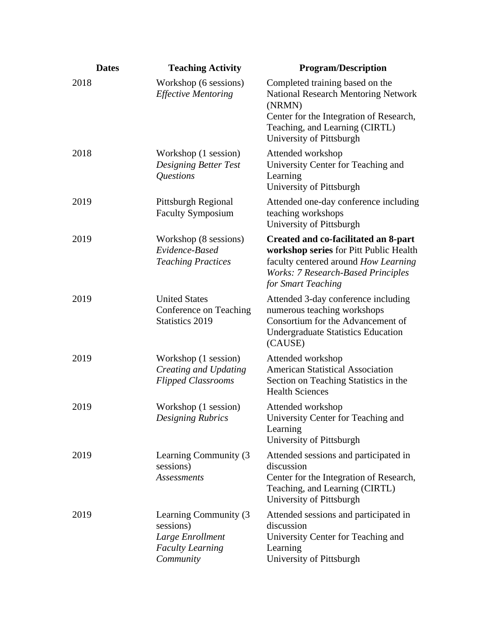| <b>Dates</b> | <b>Teaching Activity</b>                                                                        | <b>Program/Description</b>                                                                                                                                                                       |
|--------------|-------------------------------------------------------------------------------------------------|--------------------------------------------------------------------------------------------------------------------------------------------------------------------------------------------------|
| 2018         | Workshop (6 sessions)<br><b>Effective Mentoring</b>                                             | Completed training based on the<br><b>National Research Mentoring Network</b><br>(NRMN)<br>Center for the Integration of Research,<br>Teaching, and Learning (CIRTL)<br>University of Pittsburgh |
| 2018         | Workshop (1 session)<br><b>Designing Better Test</b><br>Questions                               | Attended workshop<br>University Center for Teaching and<br>Learning<br>University of Pittsburgh                                                                                                  |
| 2019         | Pittsburgh Regional<br><b>Faculty Symposium</b>                                                 | Attended one-day conference including<br>teaching workshops<br>University of Pittsburgh                                                                                                          |
| 2019         | Workshop (8 sessions)<br>Evidence-Based<br><b>Teaching Practices</b>                            | Created and co-facilitated an 8-part<br>workshop series for Pitt Public Health<br>faculty centered around How Learning<br><b>Works: 7 Research-Based Principles</b><br>for Smart Teaching        |
| 2019         | <b>United States</b><br>Conference on Teaching<br><b>Statistics 2019</b>                        | Attended 3-day conference including<br>numerous teaching workshops<br>Consortium for the Advancement of<br><b>Undergraduate Statistics Education</b><br>(CAUSE)                                  |
| 2019         | Workshop (1 session)<br>Creating and Updating<br><b>Flipped Classrooms</b>                      | Attended workshop<br><b>American Statistical Association</b><br>Section on Teaching Statistics in the<br><b>Health Sciences</b>                                                                  |
| 2019         | Workshop (1 session)<br><b>Designing Rubrics</b>                                                | Attended workshop<br>University Center for Teaching and<br>Learning<br>University of Pittsburgh                                                                                                  |
| 2019         | Learning Community (3)<br>sessions)<br><b>Assessments</b>                                       | Attended sessions and participated in<br>discussion<br>Center for the Integration of Research,<br>Teaching, and Learning (CIRTL)<br>University of Pittsburgh                                     |
| 2019         | Learning Community (3)<br>sessions)<br>Large Enrollment<br><b>Faculty Learning</b><br>Community | Attended sessions and participated in<br>discussion<br>University Center for Teaching and<br>Learning<br>University of Pittsburgh                                                                |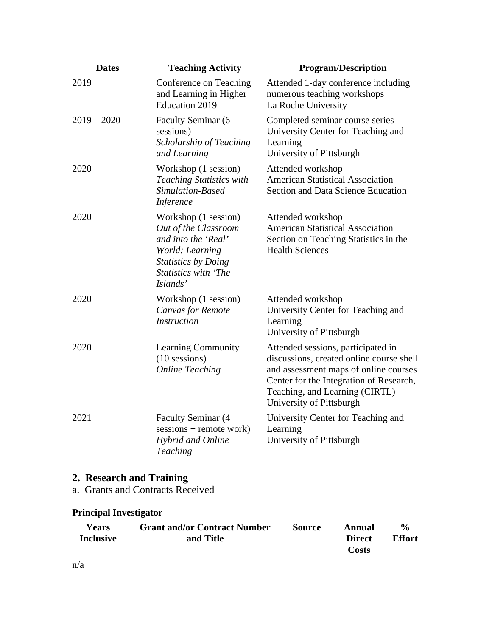| <b>Dates</b>  | <b>Teaching Activity</b>                                                                                                                                        | <b>Program/Description</b>                                                                                                                                                                                                       |
|---------------|-----------------------------------------------------------------------------------------------------------------------------------------------------------------|----------------------------------------------------------------------------------------------------------------------------------------------------------------------------------------------------------------------------------|
| 2019          | Conference on Teaching<br>and Learning in Higher<br><b>Education 2019</b>                                                                                       | Attended 1-day conference including<br>numerous teaching workshops<br>La Roche University                                                                                                                                        |
| $2019 - 2020$ | Faculty Seminar (6<br>sessions)<br>Scholarship of Teaching<br>and Learning                                                                                      | Completed seminar course series<br>University Center for Teaching and<br>Learning<br>University of Pittsburgh                                                                                                                    |
| 2020          | Workshop (1 session)<br><b>Teaching Statistics with</b><br>Simulation-Based<br><i>Inference</i>                                                                 | Attended workshop<br><b>American Statistical Association</b><br><b>Section and Data Science Education</b>                                                                                                                        |
| 2020          | Workshop (1 session)<br>Out of the Classroom<br>and into the 'Real'<br>World: Learning<br><b>Statistics by Doing</b><br><b>Statistics with 'The</b><br>Islands' | Attended workshop<br><b>American Statistical Association</b><br>Section on Teaching Statistics in the<br><b>Health Sciences</b>                                                                                                  |
| 2020          | Workshop (1 session)<br><b>Canvas for Remote</b><br><b>Instruction</b>                                                                                          | Attended workshop<br>University Center for Teaching and<br>Learning<br>University of Pittsburgh                                                                                                                                  |
| 2020          | <b>Learning Community</b><br>$(10$ sessions)<br><b>Online Teaching</b>                                                                                          | Attended sessions, participated in<br>discussions, created online course shell<br>and assessment maps of online courses<br>Center for the Integration of Research,<br>Teaching, and Learning (CIRTL)<br>University of Pittsburgh |
| 2021          | <b>Faculty Seminar (4</b><br>sessions + remote work)<br>Hybrid and Online<br>Teaching                                                                           | University Center for Teaching and<br>Learning<br>University of Pittsburgh                                                                                                                                                       |

a. Grants and Contracts Received

### **Principal Investigator**

| <b>Years</b>     | <b>Grant and/or Contract Number</b> | <b>Source</b> | Annual        | $\frac{6}{6}$ |
|------------------|-------------------------------------|---------------|---------------|---------------|
| <b>Inclusive</b> | and Title                           |               | <b>Direct</b> | <b>Effort</b> |
|                  |                                     |               | Costs         |               |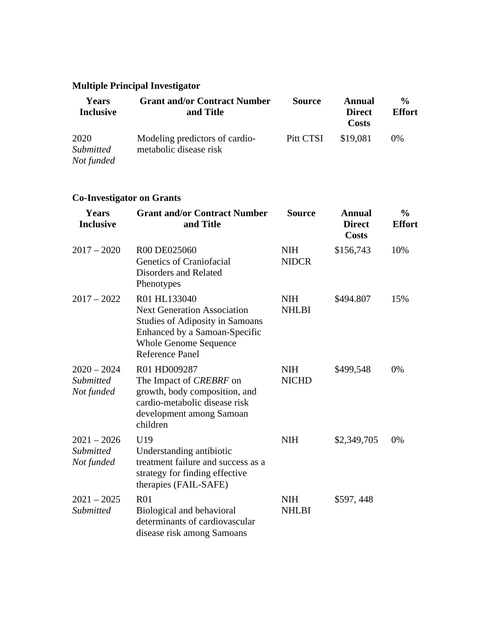## **Multiple Principal Investigator**

| <b>Years</b><br><b>Inclusive</b>       | <b>Grant and/or Contract Number</b><br>and Title         | <b>Source</b> | Annual<br><b>Direct</b><br>Costs | $\frac{0}{0}$<br><b>Effort</b> |
|----------------------------------------|----------------------------------------------------------|---------------|----------------------------------|--------------------------------|
| 2020<br><i>Submitted</i><br>Not funded | Modeling predictors of cardio-<br>metabolic disease risk | Pitt CTSI     | \$19,081                         | $0\%$                          |

### **Co-Investigator on Grants**

| Years<br><b>Inclusive</b>                       | <b>Grant and/or Contract Number</b><br>and Title                                                                                                                                        | <b>Source</b>              | <b>Annual</b><br><b>Direct</b><br><b>Costs</b> | $\frac{0}{0}$<br><b>Effort</b> |
|-------------------------------------------------|-----------------------------------------------------------------------------------------------------------------------------------------------------------------------------------------|----------------------------|------------------------------------------------|--------------------------------|
| $2017 - 2020$                                   | R00 DE025060<br>Genetics of Craniofacial<br><b>Disorders and Related</b><br>Phenotypes                                                                                                  | <b>NIH</b><br><b>NIDCR</b> | \$156,743                                      | 10%                            |
| $2017 - 2022$                                   | R01 HL133040<br><b>Next Generation Association</b><br><b>Studies of Adiposity in Samoans</b><br>Enhanced by a Samoan-Specific<br><b>Whole Genome Sequence</b><br><b>Reference Panel</b> | <b>NIH</b><br><b>NHLBI</b> | \$494.807                                      | 15%                            |
| $2020 - 2024$<br>Submitted<br>Not funded        | R01 HD009287<br>The Impact of <i>CREBRF</i> on<br>growth, body composition, and<br>cardio-metabolic disease risk<br>development among Samoan<br>children                                | <b>NIH</b><br><b>NICHD</b> | \$499,548                                      | 0%                             |
| $2021 - 2026$<br><b>Submitted</b><br>Not funded | U19<br>Understanding antibiotic<br>treatment failure and success as a<br>strategy for finding effective<br>therapies (FAIL-SAFE)                                                        | <b>NIH</b>                 | \$2,349,705                                    | 0%                             |
| $2021 - 2025$<br><b>Submitted</b>               | R <sub>01</sub><br>Biological and behavioral<br>determinants of cardiovascular<br>disease risk among Samoans                                                                            | <b>NIH</b><br><b>NHLBI</b> | \$597,448                                      |                                |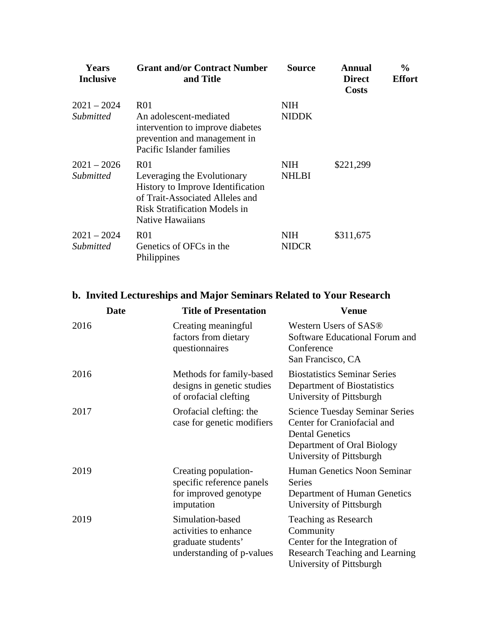| <b>Years</b><br><b>Inclusive</b>  | <b>Grant and/or Contract Number</b><br>and Title                                                                                                                            | <b>Source</b>              | Annual<br><b>Direct</b><br>Costs | $\frac{0}{0}$<br><b>Effort</b> |
|-----------------------------------|-----------------------------------------------------------------------------------------------------------------------------------------------------------------------------|----------------------------|----------------------------------|--------------------------------|
| $2021 - 2024$<br>Submitted        | R01<br>An adolescent-mediated<br>intervention to improve diabetes<br>prevention and management in<br>Pacific Islander families                                              | <b>NIH</b><br><b>NIDDK</b> |                                  |                                |
| $2021 - 2026$<br><i>Submitted</i> | R <sub>01</sub><br>Leveraging the Evolutionary<br>History to Improve Identification<br>of Trait-Associated Alleles and<br>Risk Stratification Models in<br>Native Hawaiians | <b>NIH</b><br><b>NHLBI</b> | \$221,299                        |                                |
| $2021 - 2024$<br><i>Submitted</i> | R <sub>01</sub><br>Genetics of OFCs in the<br>Philippines                                                                                                                   | <b>NIH</b><br><b>NIDCR</b> | \$311,675                        |                                |

## **b. Invited Lectureships and Major Seminars Related to Your Research**

|      | <b>Date</b> | <b>Title of Presentation</b>                                                                 | <b>Venue</b>                                                                                                                                             |
|------|-------------|----------------------------------------------------------------------------------------------|----------------------------------------------------------------------------------------------------------------------------------------------------------|
| 2016 |             | Creating meaningful<br>factors from dietary<br>questionnaires                                | Western Users of SAS®<br>Software Educational Forum and<br>Conference<br>San Francisco, CA                                                               |
| 2016 |             | Methods for family-based<br>designs in genetic studies<br>of orofacial clefting              | <b>Biostatistics Seminar Series</b><br>Department of Biostatistics<br>University of Pittsburgh                                                           |
| 2017 |             | Orofacial clefting: the<br>case for genetic modifiers                                        | <b>Science Tuesday Seminar Series</b><br>Center for Craniofacial and<br><b>Dental Genetics</b><br>Department of Oral Biology<br>University of Pittsburgh |
| 2019 |             | Creating population-<br>specific reference panels<br>for improved genotype<br>imputation     | Human Genetics Noon Seminar<br><b>Series</b><br>Department of Human Genetics<br>University of Pittsburgh                                                 |
| 2019 |             | Simulation-based<br>activities to enhance<br>graduate students'<br>understanding of p-values | Teaching as Research<br>Community<br>Center for the Integration of<br>Research Teaching and Learning<br>University of Pittsburgh                         |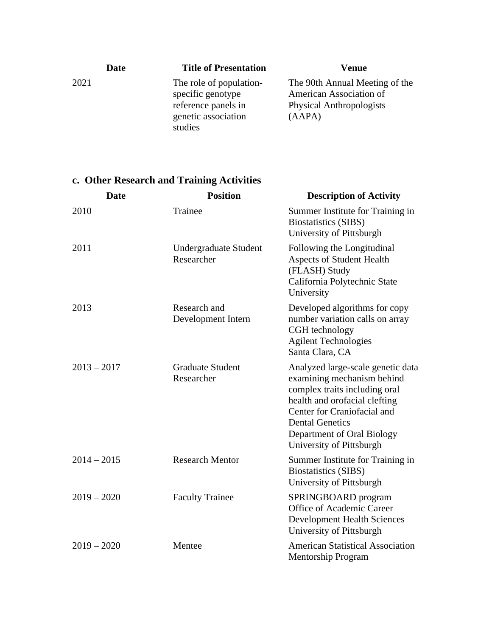| Date |         | <b>Title of Presentation</b>                                                               | Venue                                                                                                  |
|------|---------|--------------------------------------------------------------------------------------------|--------------------------------------------------------------------------------------------------------|
| 2021 | studies | The role of population-<br>specific genotype<br>reference panels in<br>genetic association | The 90th Annual Meeting of the<br>American Association of<br><b>Physical Anthropologists</b><br>(AAPA) |

# **c. Other Research and Training Activities**

| <b>Date</b>   | <b>Position</b>                            | <b>Description of Activity</b>                                                                                                                                                                                                                       |
|---------------|--------------------------------------------|------------------------------------------------------------------------------------------------------------------------------------------------------------------------------------------------------------------------------------------------------|
| 2010          | Trainee                                    | Summer Institute for Training in<br><b>Biostatistics (SIBS)</b><br>University of Pittsburgh                                                                                                                                                          |
| 2011          | <b>Undergraduate Student</b><br>Researcher | Following the Longitudinal<br><b>Aspects of Student Health</b><br>(FLASH) Study<br>California Polytechnic State<br>University                                                                                                                        |
| 2013          | Research and<br>Development Intern         | Developed algorithms for copy<br>number variation calls on array<br>CGH technology<br><b>Agilent Technologies</b><br>Santa Clara, CA                                                                                                                 |
| $2013 - 2017$ | <b>Graduate Student</b><br>Researcher      | Analyzed large-scale genetic data<br>examining mechanism behind<br>complex traits including oral<br>health and orofacial clefting<br>Center for Craniofacial and<br><b>Dental Genetics</b><br>Department of Oral Biology<br>University of Pittsburgh |
| $2014 - 2015$ | <b>Research Mentor</b>                     | Summer Institute for Training in<br><b>Biostatistics (SIBS)</b><br>University of Pittsburgh                                                                                                                                                          |
| $2019 - 2020$ | <b>Faculty Trainee</b>                     | SPRINGBOARD program<br>Office of Academic Career<br><b>Development Health Sciences</b><br>University of Pittsburgh                                                                                                                                   |
| $2019 - 2020$ | Mentee                                     | <b>American Statistical Association</b><br><b>Mentorship Program</b>                                                                                                                                                                                 |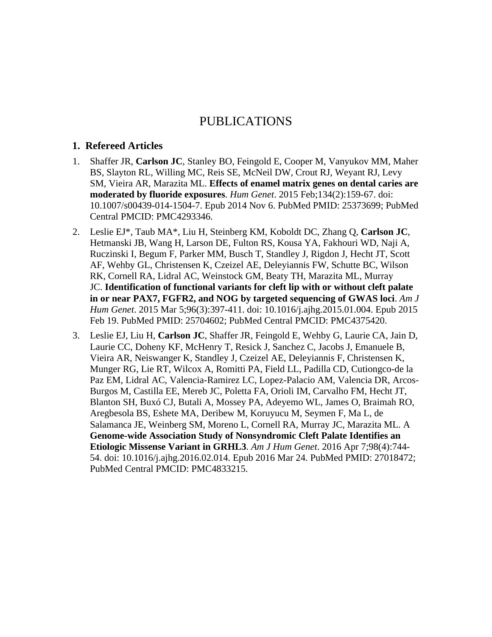### PUBLICATIONS

#### **1. Refereed Articles**

- 1. Shaffer JR, **Carlson JC**, Stanley BO, Feingold E, Cooper M, Vanyukov MM, Maher BS, Slayton RL, Willing MC, Reis SE, McNeil DW, Crout RJ, Weyant RJ, Levy SM, Vieira AR, Marazita ML. **Effects of enamel matrix genes on dental caries are moderated by fluoride exposures**. *Hum Genet*. 2015 Feb;134(2):159-67. doi: 10.1007/s00439-014-1504-7. Epub 2014 Nov 6. PubMed PMID: 25373699; PubMed Central PMCID: PMC4293346.
- 2. Leslie EJ\*, Taub MA\*, Liu H, Steinberg KM, Koboldt DC, Zhang Q, **Carlson JC**, Hetmanski JB, Wang H, Larson DE, Fulton RS, Kousa YA, Fakhouri WD, Naji A, Ruczinski I, Begum F, Parker MM, Busch T, Standley J, Rigdon J, Hecht JT, Scott AF, Wehby GL, Christensen K, Czeizel AE, Deleyiannis FW, Schutte BC, Wilson RK, Cornell RA, Lidral AC, Weinstock GM, Beaty TH, Marazita ML, Murray JC. **Identification of functional variants for cleft lip with or without cleft palate in or near PAX7, FGFR2, and NOG by targeted sequencing of GWAS loci**. *Am J Hum Genet*. 2015 Mar 5;96(3):397-411. doi: 10.1016/j.ajhg.2015.01.004. Epub 2015 Feb 19. PubMed PMID: 25704602; PubMed Central PMCID: PMC4375420.
- 3. Leslie EJ, Liu H, **Carlson JC**, Shaffer JR, Feingold E, Wehby G, Laurie CA, Jain D, Laurie CC, Doheny KF, McHenry T, Resick J, Sanchez C, Jacobs J, Emanuele B, Vieira AR, Neiswanger K, Standley J, Czeizel AE, Deleyiannis F, Christensen K, Munger RG, Lie RT, Wilcox A, Romitti PA, Field LL, Padilla CD, Cutiongco-de la Paz EM, Lidral AC, Valencia-Ramirez LC, Lopez-Palacio AM, Valencia DR, Arcos-Burgos M, Castilla EE, Mereb JC, Poletta FA, Orioli IM, Carvalho FM, Hecht JT, Blanton SH, Buxó CJ, Butali A, Mossey PA, Adeyemo WL, James O, Braimah RO, Aregbesola BS, Eshete MA, Deribew M, Koruyucu M, Seymen F, Ma L, de Salamanca JE, Weinberg SM, Moreno L, Cornell RA, Murray JC, Marazita ML. A **Genome-wide Association Study of Nonsyndromic Cleft Palate Identifies an Etiologic Missense Variant in GRHL3**. *Am J Hum Genet*. 2016 Apr 7;98(4):744- 54. doi: 10.1016/j.ajhg.2016.02.014. Epub 2016 Mar 24. PubMed PMID: 27018472; PubMed Central PMCID: PMC4833215.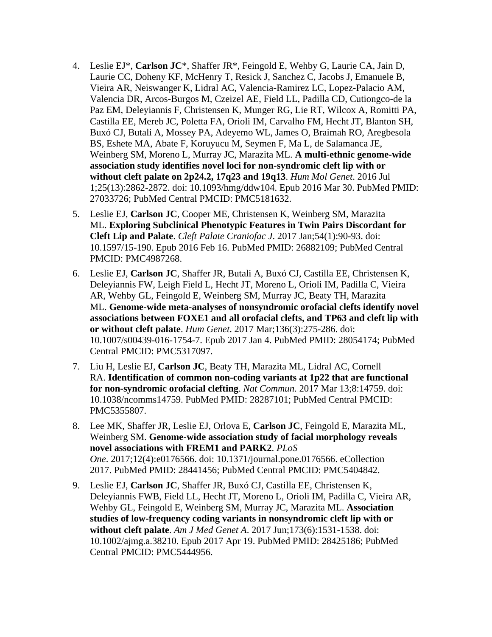- 4. Leslie EJ\*, **Carlson JC**\*, Shaffer JR\*, Feingold E, Wehby G, Laurie CA, Jain D, Laurie CC, Doheny KF, McHenry T, Resick J, Sanchez C, Jacobs J, Emanuele B, Vieira AR, Neiswanger K, Lidral AC, Valencia-Ramirez LC, Lopez-Palacio AM, Valencia DR, Arcos-Burgos M, Czeizel AE, Field LL, Padilla CD, Cutiongco-de la Paz EM, Deleyiannis F, Christensen K, Munger RG, Lie RT, Wilcox A, Romitti PA, Castilla EE, Mereb JC, Poletta FA, Orioli IM, Carvalho FM, Hecht JT, Blanton SH, Buxó CJ, Butali A, Mossey PA, Adeyemo WL, James O, Braimah RO, Aregbesola BS, Eshete MA, Abate F, Koruyucu M, Seymen F, Ma L, de Salamanca JE, Weinberg SM, Moreno L, Murray JC, Marazita ML. **A multi-ethnic genome-wide association study identifies novel loci for non-syndromic cleft lip with or without cleft palate on 2p24.2, 17q23 and 19q13**. *Hum Mol Genet*. 2016 Jul 1;25(13):2862-2872. doi: 10.1093/hmg/ddw104. Epub 2016 Mar 30. PubMed PMID: 27033726; PubMed Central PMCID: PMC5181632.
- 5. Leslie EJ, **Carlson JC**, Cooper ME, Christensen K, Weinberg SM, Marazita ML. **Exploring Subclinical Phenotypic Features in Twin Pairs Discordant for Cleft Lip and Palate**. *Cleft Palate Craniofac J*. 2017 Jan;54(1):90-93. doi: 10.1597/15-190. Epub 2016 Feb 16. PubMed PMID: 26882109; PubMed Central PMCID: PMC4987268.
- 6. Leslie EJ, **Carlson JC**, Shaffer JR, Butali A, Buxó CJ, Castilla EE, Christensen K, Deleyiannis FW, Leigh Field L, Hecht JT, Moreno L, Orioli IM, Padilla C, Vieira AR, Wehby GL, Feingold E, Weinberg SM, Murray JC, Beaty TH, Marazita ML. **Genome-wide meta-analyses of nonsyndromic orofacial clefts identify novel associations between FOXE1 and all orofacial clefts, and TP63 and cleft lip with or without cleft palate**. *Hum Genet*. 2017 Mar;136(3):275-286. doi: 10.1007/s00439-016-1754-7. Epub 2017 Jan 4. PubMed PMID: 28054174; PubMed Central PMCID: PMC5317097.
- 7. Liu H, Leslie EJ, **Carlson JC**, Beaty TH, Marazita ML, Lidral AC, Cornell RA. **Identification of common non-coding variants at 1p22 that are functional for non-syndromic orofacial clefting**. *Nat Commun*. 2017 Mar 13;8:14759. doi: 10.1038/ncomms14759. PubMed PMID: 28287101; PubMed Central PMCID: PMC5355807.
- 8. Lee MK, Shaffer JR, Leslie EJ, Orlova E, **Carlson JC**, Feingold E, Marazita ML, Weinberg SM. **Genome-wide association study of facial morphology reveals novel associations with FREM1 and PARK2**. *PLoS One*. 2017;12(4):e0176566. doi: 10.1371/journal.pone.0176566. eCollection 2017. PubMed PMID: 28441456; PubMed Central PMCID: PMC5404842.
- 9. Leslie EJ, **Carlson JC**, Shaffer JR, Buxó CJ, Castilla EE, Christensen K, Deleyiannis FWB, Field LL, Hecht JT, Moreno L, Orioli IM, Padilla C, Vieira AR, Wehby GL, Feingold E, Weinberg SM, Murray JC, Marazita ML. **Association studies of low-frequency coding variants in nonsyndromic cleft lip with or without cleft palate**. *Am J Med Genet A*. 2017 Jun;173(6):1531-1538. doi: 10.1002/ajmg.a.38210. Epub 2017 Apr 19. PubMed PMID: 28425186; PubMed Central PMCID: PMC5444956.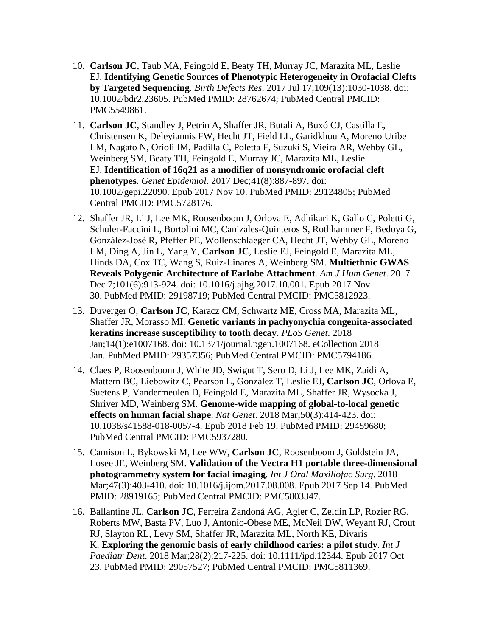- 10. **Carlson JC**, Taub MA, Feingold E, Beaty TH, Murray JC, Marazita ML, Leslie EJ. **Identifying Genetic Sources of Phenotypic Heterogeneity in Orofacial Clefts by Targeted Sequencing**. *Birth Defects Res*. 2017 Jul 17;109(13):1030-1038. doi: 10.1002/bdr2.23605. PubMed PMID: 28762674; PubMed Central PMCID: PMC5549861.
- 11. **Carlson JC**, Standley J, Petrin A, Shaffer JR, Butali A, Buxó CJ, Castilla E, Christensen K, Deleyiannis FW, Hecht JT, Field LL, Garidkhuu A, Moreno Uribe LM, Nagato N, Orioli IM, Padilla C, Poletta F, Suzuki S, Vieira AR, Wehby GL, Weinberg SM, Beaty TH, Feingold E, Murray JC, Marazita ML, Leslie EJ. **Identification of 16q21 as a modifier of nonsyndromic orofacial cleft phenotypes**. *Genet Epidemiol*. 2017 Dec;41(8):887-897. doi: 10.1002/gepi.22090. Epub 2017 Nov 10. PubMed PMID: 29124805; PubMed Central PMCID: PMC5728176.
- 12. Shaffer JR, Li J, Lee MK, Roosenboom J, Orlova E, Adhikari K, Gallo C, Poletti G, Schuler-Faccini L, Bortolini MC, Canizales-Quinteros S, Rothhammer F, Bedoya G, González-José R, Pfeffer PE, Wollenschlaeger CA, Hecht JT, Wehby GL, Moreno LM, Ding A, Jin L, Yang Y, **Carlson JC**, Leslie EJ, Feingold E, Marazita ML, Hinds DA, Cox TC, Wang S, Ruiz-Linares A, Weinberg SM. **Multiethnic GWAS Reveals Polygenic Architecture of Earlobe Attachment**. *Am J Hum Genet*. 2017 Dec 7;101(6):913-924. doi: 10.1016/j.ajhg.2017.10.001. Epub 2017 Nov 30. PubMed PMID: 29198719; PubMed Central PMCID: PMC5812923.
- 13. Duverger O, **Carlson JC**, Karacz CM, Schwartz ME, Cross MA, Marazita ML, Shaffer JR, Morasso MI. **Genetic variants in pachyonychia congenita-associated keratins increase susceptibility to tooth decay**. *PLoS Genet*. 2018 Jan;14(1):e1007168. doi: 10.1371/journal.pgen.1007168. eCollection 2018 Jan. PubMed PMID: 29357356; PubMed Central PMCID: PMC5794186.
- 14. Claes P, Roosenboom J, White JD, Swigut T, Sero D, Li J, Lee MK, Zaidi A, Mattern BC, Liebowitz C, Pearson L, González T, Leslie EJ, **Carlson JC**, Orlova E, Suetens P, Vandermeulen D, Feingold E, Marazita ML, Shaffer JR, Wysocka J, Shriver MD, Weinberg SM. **Genome-wide mapping of global-to-local genetic effects on human facial shape**. *Nat Genet*. 2018 Mar;50(3):414-423. doi: 10.1038/s41588-018-0057-4. Epub 2018 Feb 19. PubMed PMID: 29459680; PubMed Central PMCID: PMC5937280.
- 15. Camison L, Bykowski M, Lee WW, **Carlson JC**, Roosenboom J, Goldstein JA, Losee JE, Weinberg SM. **Validation of the Vectra H1 portable three-dimensional photogrammetry system for facial imaging**. *Int J Oral Maxillofac Surg*. 2018 Mar;47(3):403-410. doi: 10.1016/j.ijom.2017.08.008. Epub 2017 Sep 14. PubMed PMID: 28919165; PubMed Central PMCID: PMC5803347.
- 16. Ballantine JL, **Carlson JC**, Ferreira Zandoná AG, Agler C, Zeldin LP, Rozier RG, Roberts MW, Basta PV, Luo J, Antonio-Obese ME, McNeil DW, Weyant RJ, Crout RJ, Slayton RL, Levy SM, Shaffer JR, Marazita ML, North KE, Divaris K. **Exploring the genomic basis of early childhood caries: a pilot study**. *Int J Paediatr Dent*. 2018 Mar;28(2):217-225. doi: 10.1111/ipd.12344. Epub 2017 Oct 23. PubMed PMID: 29057527; PubMed Central PMCID: PMC5811369.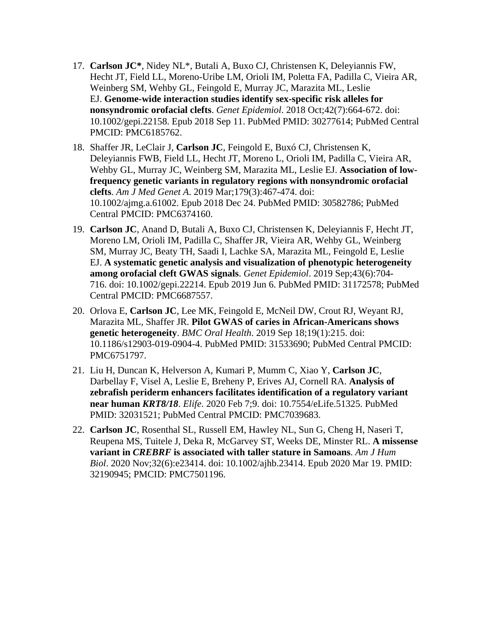- 17. **Carlson JC\***, Nidey NL\*, Butali A, Buxo CJ, Christensen K, Deleyiannis FW, Hecht JT, Field LL, Moreno-Uribe LM, Orioli IM, Poletta FA, Padilla C, Vieira AR, Weinberg SM, Wehby GL, Feingold E, Murray JC, Marazita ML, Leslie EJ. **Genome-wide interaction studies identify sex-specific risk alleles for nonsyndromic orofacial clefts**. *Genet Epidemiol*. 2018 Oct;42(7):664-672. doi: 10.1002/gepi.22158. Epub 2018 Sep 11. PubMed PMID: 30277614; PubMed Central PMCID: PMC6185762.
- 18. Shaffer JR, LeClair J, **Carlson JC**, Feingold E, Buxó CJ, Christensen K, Deleyiannis FWB, Field LL, Hecht JT, Moreno L, Orioli IM, Padilla C, Vieira AR, Wehby GL, Murray JC, Weinberg SM, Marazita ML, Leslie EJ. **Association of lowfrequency genetic variants in regulatory regions with nonsyndromic orofacial clefts**. *Am J Med Genet A*. 2019 Mar;179(3):467-474. doi: 10.1002/ajmg.a.61002. Epub 2018 Dec 24. PubMed PMID: 30582786; PubMed Central PMCID: PMC6374160.
- 19. **Carlson JC**, Anand D, Butali A, Buxo CJ, Christensen K, Deleyiannis F, Hecht JT, Moreno LM, Orioli IM, Padilla C, Shaffer JR, Vieira AR, Wehby GL, Weinberg SM, Murray JC, Beaty TH, Saadi I, Lachke SA, Marazita ML, Feingold E, Leslie EJ. **A systematic genetic analysis and visualization of phenotypic heterogeneity among orofacial cleft GWAS signals**. *Genet Epidemiol*. 2019 Sep;43(6):704- 716. doi: 10.1002/gepi.22214. Epub 2019 Jun 6. PubMed PMID: 31172578; PubMed Central PMCID: PMC6687557.
- 20. Orlova E, **Carlson JC**, Lee MK, Feingold E, McNeil DW, Crout RJ, Weyant RJ, Marazita ML, Shaffer JR. **Pilot GWAS of caries in African-Americans shows genetic heterogeneity**. *BMC Oral Health*. 2019 Sep 18;19(1):215. doi: 10.1186/s12903-019-0904-4. PubMed PMID: 31533690; PubMed Central PMCID: PMC6751797.
- 21. Liu H, Duncan K, Helverson A, Kumari P, Mumm C, Xiao Y, **Carlson JC**, Darbellay F, Visel A, Leslie E, Breheny P, Erives AJ, Cornell RA. **Analysis of zebrafish periderm enhancers facilitates identification of a regulatory variant near human** *KRT8/18*. *Elife*. 2020 Feb 7;9. doi: 10.7554/eLife.51325. PubMed PMID: 32031521; PubMed Central PMCID: PMC7039683.
- 22. **Carlson JC**, Rosenthal SL, Russell EM, Hawley NL, Sun G, Cheng H, Naseri T, Reupena MS, Tuitele J, Deka R, McGarvey ST, Weeks DE, Minster RL. **A missense variant in** *CREBRF* **is associated with taller stature in Samoans**. *Am J Hum Biol*. 2020 Nov;32(6):e23414. doi: 10.1002/ajhb.23414. Epub 2020 Mar 19. PMID: 32190945; PMCID: PMC7501196.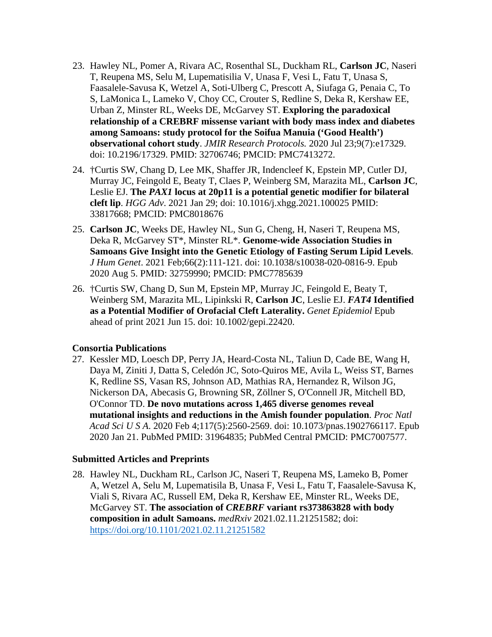- 23. Hawley NL, Pomer A, Rivara AC, Rosenthal SL, Duckham RL, **Carlson JC**, Naseri T, Reupena MS, Selu M, Lupematisilia V, Unasa F, Vesi L, Fatu T, Unasa S, Faasalele-Savusa K, Wetzel A, Soti-Ulberg C, Prescott A, Siufaga G, Penaia C, To S, LaMonica L, Lameko V, Choy CC, Crouter S, Redline S, Deka R, Kershaw EE, Urban Z, Minster RL, Weeks DE, McGarvey ST. **Exploring the paradoxical relationship of a CREBRF missense variant with body mass index and diabetes among Samoans: study protocol for the Soifua Manuia ('Good Health') observational cohort study**. *JMIR Research Protocols.* 2020 Jul 23;9(7):e17329. doi: 10.2196/17329. PMID: 32706746; PMCID: PMC7413272.
- 24. †Curtis SW, Chang D, Lee MK, Shaffer JR, Indencleef K, Epstein MP, Cutler DJ, Murray JC, Feingold E, Beaty T, Claes P, Weinberg SM, Marazita ML, **Carlson JC**, Leslie EJ. **The** *PAX1* **locus at 20p11 is a potential genetic modifier for bilateral cleft lip**. *HGG Adv*. 2021 Jan 29; doi: 10.1016/j.xhgg.2021.100025 PMID: 33817668; PMCID: PMC8018676
- 25. **Carlson JC**, Weeks DE, Hawley NL, Sun G, Cheng, H, Naseri T, Reupena MS, Deka R, McGarvey ST\*, Minster RL\*. **Genome-wide Association Studies in Samoans Give Insight into the Genetic Etiology of Fasting Serum Lipid Levels**. *J Hum Genet*. 2021 Feb;66(2):111-121. doi: 10.1038/s10038-020-0816-9. Epub 2020 Aug 5. PMID: 32759990; PMCID: PMC7785639
- 26. †Curtis SW, Chang D, Sun M, Epstein MP, Murray JC, Feingold E, Beaty T, Weinberg SM, Marazita ML, Lipinkski R, **Carlson JC**, Leslie EJ. *FAT4* **Identified as a Potential Modifier of Orofacial Cleft Laterality.** *Genet Epidemiol* Epub ahead of print 2021 Jun 15. doi: 10.1002/gepi.22420.

#### **Consortia Publications**

27. Kessler MD, Loesch DP, Perry JA, Heard-Costa NL, Taliun D, Cade BE, Wang H, Daya M, Ziniti J, Datta S, Celedón JC, Soto-Quiros ME, Avila L, Weiss ST, Barnes K, Redline SS, Vasan RS, Johnson AD, Mathias RA, Hernandez R, Wilson JG, Nickerson DA, Abecasis G, Browning SR, Zöllner S, O'Connell JR, Mitchell BD, O'Connor TD. **De novo mutations across 1,465 diverse genomes reveal mutational insights and reductions in the Amish founder population**. *Proc Natl Acad Sci U S A*. 2020 Feb 4;117(5):2560-2569. doi: 10.1073/pnas.1902766117. Epub 2020 Jan 21. PubMed PMID: 31964835; PubMed Central PMCID: PMC7007577.

#### **Submitted Articles and Preprints**

28. Hawley NL, Duckham RL, Carlson JC, Naseri T, Reupena MS, Lameko B, Pomer A, Wetzel A, Selu M, Lupematisila B, Unasa F, Vesi L, Fatu T, Faasalele-Savusa K, Viali S, Rivara AC, Russell EM, Deka R, Kershaw EE, Minster RL, Weeks DE, McGarvey ST. **The association of** *CREBRF* **variant rs373863828 with body composition in adult Samoans.** *medRxiv* 2021.02.11.21251582; doi: <https://doi.org/10.1101/2021.02.11.21251582>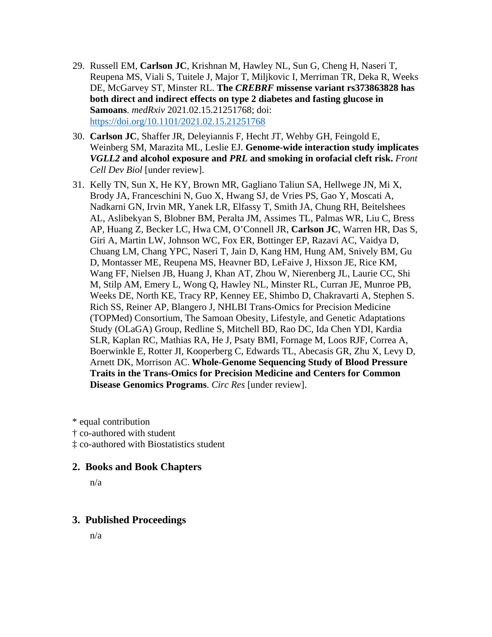- 29. Russell EM, **Carlson JC**, Krishnan M, Hawley NL, Sun G, Cheng H, Naseri T, Reupena MS, Viali S, Tuitele J, Major T, Miljkovic I, Merriman TR, Deka R, Weeks DE, McGarvey ST, Minster RL. **The** *CREBRF* **missense variant rs373863828 has both direct and indirect effects on type 2 diabetes and fasting glucose in Samoans**. *medRxiv* 2021.02.15.21251768; doi: <https://doi.org/10.1101/2021.02.15.21251768>
- 30. **Carlson JC**, Shaffer JR, Deleyiannis F, Hecht JT, Wehby GH, Feingold E, Weinberg SM, Marazita ML, Leslie EJ. **Genome-wide interaction study implicates**  *VGLL2* **and alcohol exposure and** *PRL* **and smoking in orofacial cleft risk.** *Front Cell Dev Biol* [under review].
- 31. Kelly TN, Sun X, He KY, Brown MR, Gagliano Taliun SA, Hellwege JN, Mi X, Brody JA, Franceschini N, Guo X, Hwang SJ, de Vries PS, Gao Y, Moscati A, Nadkarni GN, Irvin MR, Yanek LR, Elfassy T, Smith JA, Chung RH, Beitelshees AL, Aslibekyan S, Blobner BM, Peralta JM, Assimes TL, Palmas WR, Liu C, Bress AP, Huang Z, Becker LC, Hwa CM, O'Connell JR, **Carlson JC**, Warren HR, Das S, Giri A, Martin LW, Johnson WC, Fox ER, Bottinger EP, Razavi AC, Vaidya D, Chuang LM, Chang YPC, Naseri T, Jain D, Kang HM, Hung AM, Snively BM, Gu D, Montasser ME, Reupena MS, Heavner BD, LeFaive J, Hixson JE, Rice KM, Wang FF, Nielsen JB, Huang J, Khan AT, Zhou W, Nierenberg JL, Laurie CC, Shi M, Stilp AM, Emery L, Wong Q, Hawley NL, Minster RL, Curran JE, Munroe PB, Weeks DE, North KE, Tracy RP, Kenney EE, Shimbo D, Chakravarti A, Stephen S. Rich SS, Reiner AP, Blangero J, NHLBI Trans-Omics for Precision Medicine (TOPMed) Consortium, The Samoan Obesity, Lifestyle, and Genetic Adaptations Study (OLaGA) Group, Redline S, Mitchell BD, Rao DC, Ida Chen YDI, Kardia SLR, Kaplan RC, Mathias RA, He J, Psaty BMI, Fornage M, Loos RJF, Correa A, Boerwinkle E, Rotter JI, Kooperberg C, Edwards TL, Abecasis GR, Zhu X, Levy D, Arnett DK, Morrison AC. **Whole-Genome Sequencing Study of Blood Pressure Traits in the Trans-Omics for Precision Medicine and Centers for Common Disease Genomics Programs**. *Circ Res* [under review].

\* equal contribution

† co-authored with student

‡ co-authored with Biostatistics student

#### **2. Books and Book Chapters**

n/a

#### **3. Published Proceedings**

n/a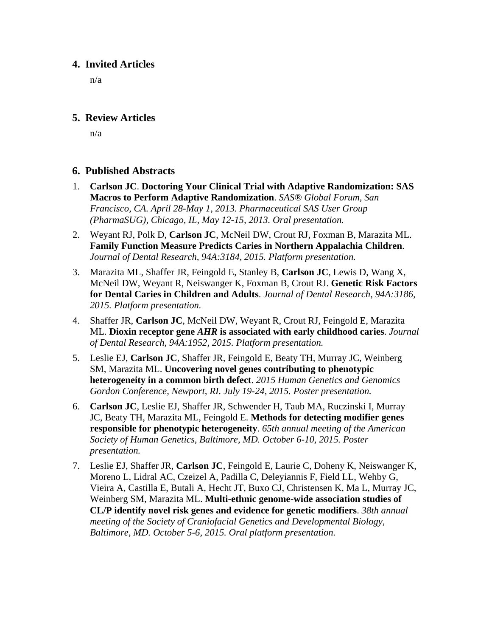#### **4. Invited Articles**

n/a

#### **5. Review Articles**

n/a

#### **6. Published Abstracts**

- 1. **Carlson JC**. **Doctoring Your Clinical Trial with Adaptive Randomization: SAS Macros to Perform Adaptive Randomization**. *SAS® Global Forum, San Francisco, CA. April 28-May 1, 2013. Pharmaceutical SAS User Group (PharmaSUG), Chicago, IL, May 12-15, 2013. Oral presentation.*
- 2. Weyant RJ, Polk D, **Carlson JC**, McNeil DW, Crout RJ, Foxman B, Marazita ML. **Family Function Measure Predicts Caries in Northern Appalachia Children**. *Journal of Dental Research, 94A:3184, 2015. Platform presentation.*
- 3. Marazita ML, Shaffer JR, Feingold E, Stanley B, **Carlson JC**, Lewis D, Wang X, McNeil DW, Weyant R, Neiswanger K, Foxman B, Crout RJ. **Genetic Risk Factors for Dental Caries in Children and Adults**. *Journal of Dental Research, 94A:3186, 2015. Platform presentation.*
- 4. Shaffer JR, **Carlson JC**, McNeil DW, Weyant R, Crout RJ, Feingold E, Marazita ML. **Dioxin receptor gene** *AHR* **is associated with early childhood caries**. *Journal of Dental Research, 94A:1952, 2015. Platform presentation.*
- 5. Leslie EJ, **Carlson JC**, Shaffer JR, Feingold E, Beaty TH, Murray JC, Weinberg SM, Marazita ML. **Uncovering novel genes contributing to phenotypic heterogeneity in a common birth defect**. *2015 Human Genetics and Genomics Gordon Conference, Newport, RI. July 19-24, 2015. Poster presentation.*
- 6. **Carlson JC**, Leslie EJ, Shaffer JR, Schwender H, Taub MA, Ruczinski I, Murray JC, Beaty TH, Marazita ML, Feingold E. **Methods for detecting modifier genes responsible for phenotypic heterogeneity**. *65th annual meeting of the American Society of Human Genetics, Baltimore, MD. October 6-10, 2015. Poster presentation.*
- 7. Leslie EJ, Shaffer JR, **Carlson JC**, Feingold E, Laurie C, Doheny K, Neiswanger K, Moreno L, Lidral AC, Czeizel A, Padilla C, Deleyiannis F, Field LL, Wehby G, Vieira A, Castilla E, Butali A, Hecht JT, Buxo CJ, Christensen K, Ma L, Murray JC, Weinberg SM, Marazita ML. **Multi-ethnic genome-wide association studies of CL/P identify novel risk genes and evidence for genetic modifiers**. *38th annual meeting of the Society of Craniofacial Genetics and Developmental Biology, Baltimore, MD. October 5-6, 2015. Oral platform presentation.*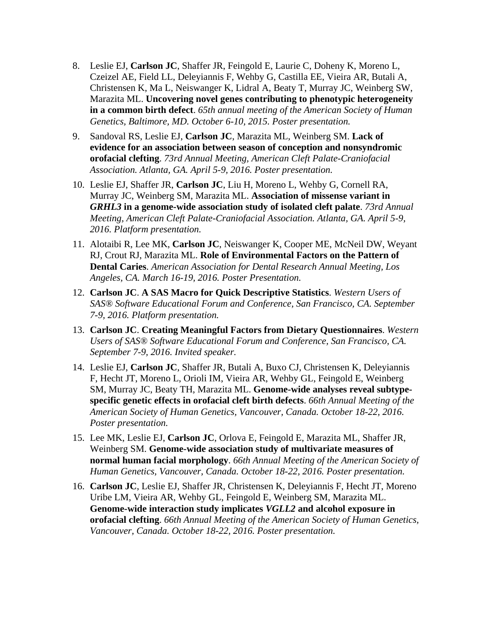- 8. Leslie EJ, **Carlson JC**, Shaffer JR, Feingold E, Laurie C, Doheny K, Moreno L, Czeizel AE, Field LL, Deleyiannis F, Wehby G, Castilla EE, Vieira AR, Butali A, Christensen K, Ma L, Neiswanger K, Lidral A, Beaty T, Murray JC, Weinberg SW, Marazita ML. **Uncovering novel genes contributing to phenotypic heterogeneity in a common birth defect**. *65th annual meeting of the American Society of Human Genetics, Baltimore, MD. October 6-10, 2015. Poster presentation.*
- 9. Sandoval RS, Leslie EJ, **Carlson JC**, Marazita ML, Weinberg SM. **Lack of evidence for an association between season of conception and nonsyndromic orofacial clefting**. *73rd Annual Meeting, American Cleft Palate-Craniofacial Association. Atlanta, GA. April 5-9, 2016. Poster presentation.*
- 10. Leslie EJ, Shaffer JR, **Carlson JC**, Liu H, Moreno L, Wehby G, Cornell RA, Murray JC, Weinberg SM, Marazita ML. **Association of missense variant in**  *GRHL3* **in a genome-wide association study of isolated cleft palate**. *73rd Annual Meeting, American Cleft Palate-Craniofacial Association. Atlanta, GA. April 5-9, 2016. Platform presentation.*
- 11. Alotaibi R, Lee MK, **Carlson JC**, Neiswanger K, Cooper ME, McNeil DW, Weyant RJ, Crout RJ, Marazita ML. **Role of Environmental Factors on the Pattern of Dental Caries**. *American Association for Dental Research Annual Meeting, Los Angeles, CA. March 16-19, 2016. Poster Presentation.*
- 12. **Carlson JC**. **A SAS Macro for Quick Descriptive Statistics**. *Western Users of SAS® Software Educational Forum and Conference, San Francisco, CA. September 7-9, 2016. Platform presentation.*
- 13. **Carlson JC**. **Creating Meaningful Factors from Dietary Questionnaires**. *Western Users of SAS® Software Educational Forum and Conference, San Francisco, CA. September 7-9, 2016. Invited speaker.*
- 14. Leslie EJ, **Carlson JC**, Shaffer JR, Butali A, Buxo CJ, Christensen K, Deleyiannis F, Hecht JT, Moreno L, Orioli IM, Vieira AR, Wehby GL, Feingold E, Weinberg SM, Murray JC, Beaty TH, Marazita ML. **Genome-wide analyses reveal subtypespecific genetic effects in orofacial cleft birth defects**. *66th Annual Meeting of the American Society of Human Genetics, Vancouver, Canada. October 18-22, 2016. Poster presentation.*
- 15. Lee MK, Leslie EJ, **Carlson JC**, Orlova E, Feingold E, Marazita ML, Shaffer JR, Weinberg SM. **Genome-wide association study of multivariate measures of normal human facial morphology**. *66th Annual Meeting of the American Society of Human Genetics, Vancouver, Canada. October 18-22, 2016. Poster presentation.*
- 16. **Carlson JC**, Leslie EJ, Shaffer JR, Christensen K, Deleyiannis F, Hecht JT, Moreno Uribe LM, Vieira AR, Wehby GL, Feingold E, Weinberg SM, Marazita ML. **Genome-wide interaction study implicates** *VGLL2* **and alcohol exposure in orofacial clefting**. *66th Annual Meeting of the American Society of Human Genetics, Vancouver, Canada. October 18-22, 2016. Poster presentation.*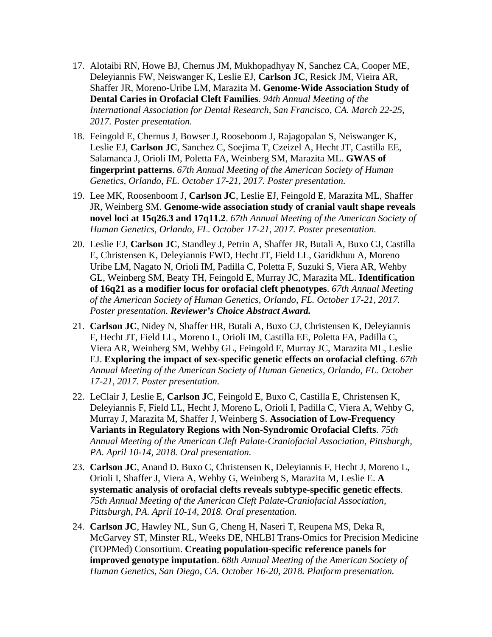- 17. Alotaibi RN, Howe BJ, Chernus JM, Mukhopadhyay N, Sanchez CA, Cooper ME, Deleyiannis FW, Neiswanger K, Leslie EJ, **Carlson JC**, Resick JM, Vieira AR, Shaffer JR, Moreno-Uribe LM, Marazita M**. Genome-Wide Association Study of Dental Caries in Orofacial Cleft Families**. *94th Annual Meeting of the International Association for Dental Research, San Francisco, CA. March 22-25, 2017. Poster presentation.*
- 18. Feingold E, Chernus J, Bowser J, Rooseboom J, Rajagopalan S, Neiswanger K, Leslie EJ, **Carlson JC**, Sanchez C, Soejima T, Czeizel A, Hecht JT, Castilla EE, Salamanca J, Orioli IM, Poletta FA, Weinberg SM, Marazita ML. **GWAS of fingerprint patterns**. *67th Annual Meeting of the American Society of Human Genetics, Orlando, FL. October 17-21, 2017. Poster presentation.*
- 19. Lee MK, Roosenboom J, **Carlson JC**, Leslie EJ, Feingold E, Marazita ML, Shaffer JR, Weinberg SM. **Genome-wide association study of cranial vault shape reveals novel loci at 15q26.3 and 17q11.2**. *67th Annual Meeting of the American Society of Human Genetics, Orlando, FL. October 17-21, 2017. Poster presentation.*
- 20. Leslie EJ, **Carlson JC**, Standley J, Petrin A, Shaffer JR, Butali A, Buxo CJ, Castilla E, Christensen K, Deleyiannis FWD, Hecht JT, Field LL, Garidkhuu A, Moreno Uribe LM, Nagato N, Orioli IM, Padilla C, Poletta F, Suzuki S, Viera AR, Wehby GL, Weinberg SM, Beaty TH, Feingold E, Murray JC, Marazita ML. **Identification of 16q21 as a modifier locus for orofacial cleft phenotypes**. *67th Annual Meeting of the American Society of Human Genetics, Orlando, FL. October 17-21, 2017. Poster presentation. Reviewer's Choice Abstract Award.*
- 21. **Carlson JC**, Nidey N, Shaffer HR, Butali A, Buxo CJ, Christensen K, Deleyiannis F, Hecht JT, Field LL, Moreno L, Orioli IM, Castilla EE, Poletta FA, Padilla C, Viera AR, Weinberg SM, Wehby GL, Feingold E, Murray JC, Marazita ML, Leslie EJ. **Exploring the impact of sex-specific genetic effects on orofacial clefting**. *67th Annual Meeting of the American Society of Human Genetics, Orlando, FL. October 17-21, 2017. Poster presentation.*
- 22. LeClair J, Leslie E, **Carlson J**C, Feingold E, Buxo C, Castilla E, Christensen K, Deleyiannis F, Field LL, Hecht J, Moreno L, Orioli I, Padilla C, Viera A, Wehby G, Murray J, Marazita M, Shaffer J, Weinberg S. **Association of Low-Frequency Variants in Regulatory Regions with Non-Syndromic Orofacial Clefts**. *75th Annual Meeting of the American Cleft Palate-Craniofacial Association, Pittsburgh, PA. April 10-14, 2018. Oral presentation.*
- 23. **Carlson JC**, Anand D. Buxo C, Christensen K, Deleyiannis F, Hecht J, Moreno L, Orioli I, Shaffer J, Viera A, Wehby G, Weinberg S, Marazita M, Leslie E. **A systematic analysis of orofacial clefts reveals subtype-specific genetic effects**. *75th Annual Meeting of the American Cleft Palate-Craniofacial Association, Pittsburgh, PA. April 10-14, 2018. Oral presentation.*
- 24. **Carlson JC**, Hawley NL, Sun G, Cheng H, Naseri T, Reupena MS, Deka R, McGarvey ST, Minster RL, Weeks DE, NHLBI Trans-Omics for Precision Medicine (TOPMed) Consortium. **Creating population-specific reference panels for improved genotype imputation**. *68th Annual Meeting of the American Society of Human Genetics, San Diego, CA. October 16-20, 2018. Platform presentation.*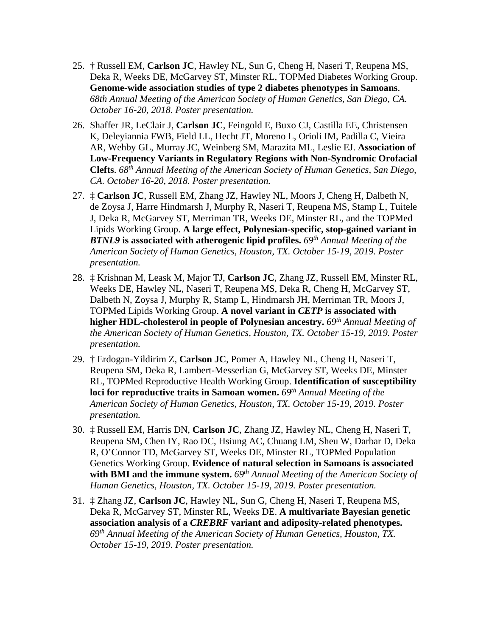- 25. † Russell EM, **Carlson JC**, Hawley NL, Sun G, Cheng H, Naseri T, Reupena MS, Deka R, Weeks DE, McGarvey ST, Minster RL, TOPMed Diabetes Working Group. **Genome-wide association studies of type 2 diabetes phenotypes in Samoans**. *68th Annual Meeting of the American Society of Human Genetics, San Diego, CA. October 16-20, 2018. Poster presentation.*
- 26. Shaffer JR, LeClair J, **Carlson JC**, Feingold E, Buxo CJ, Castilla EE, Christensen K, Deleyiannia FWB, Field LL, Hecht JT, Moreno L, Orioli IM, Padilla C, Vieira AR, Wehby GL, Murray JC, Weinberg SM, Marazita ML, Leslie EJ. **Association of Low-Frequency Variants in Regulatory Regions with Non-Syndromic Orofacial Clefts**. *68th Annual Meeting of the American Society of Human Genetics, San Diego, CA. October 16-20, 2018. Poster presentation.*
- 27. ‡ **Carlson JC**, Russell EM, Zhang JZ, Hawley NL, Moors J, Cheng H, Dalbeth N, de Zoysa J, Harre Hindmarsh J, Murphy R, Naseri T, Reupena MS, Stamp L, Tuitele J, Deka R, McGarvey ST, Merriman TR, Weeks DE, Minster RL, and the TOPMed Lipids Working Group. **A large effect, Polynesian-specific, stop-gained variant in**  *BTNL9* **is associated with atherogenic lipid profiles.** *69th Annual Meeting of the American Society of Human Genetics, Houston, TX. October 15-19, 2019. Poster presentation.*
- 28. ‡ Krishnan M, Leask M, Major TJ, **Carlson JC**, Zhang JZ, Russell EM, Minster RL, Weeks DE, Hawley NL, Naseri T, Reupena MS, Deka R, Cheng H, McGarvey ST, Dalbeth N, Zoysa J, Murphy R, Stamp L, Hindmarsh JH, Merriman TR, Moors J, TOPMed Lipids Working Group. **A novel variant in** *CETP* **is associated with higher HDL-cholesterol in people of Polynesian ancestry.** *69th Annual Meeting of the American Society of Human Genetics, Houston, TX. October 15-19, 2019. Poster presentation.*
- 29. † Erdogan-Yildirim Z, **Carlson JC**, Pomer A, Hawley NL, Cheng H, Naseri T, Reupena SM, Deka R, Lambert-Messerlian G, McGarvey ST, Weeks DE, Minster RL, TOPMed Reproductive Health Working Group. **Identification of susceptibility loci for reproductive traits in Samoan women.** *69th Annual Meeting of the American Society of Human Genetics, Houston, TX. October 15-19, 2019. Poster presentation.*
- 30. ‡ Russell EM, Harris DN, **Carlson JC**, Zhang JZ, Hawley NL, Cheng H, Naseri T, Reupena SM, Chen IY, Rao DC, Hsiung AC, Chuang LM, Sheu W, Darbar D, Deka R, O'Connor TD, McGarvey ST, Weeks DE, Minster RL, TOPMed Population Genetics Working Group. **Evidence of natural selection in Samoans is associated with BMI and the immune system.** *69th Annual Meeting of the American Society of Human Genetics, Houston, TX. October 15-19, 2019. Poster presentation.*
- 31. ‡ Zhang JZ, **Carlson JC**, Hawley NL, Sun G, Cheng H, Naseri T, Reupena MS, Deka R, McGarvey ST, Minster RL, Weeks DE. **A multivariate Bayesian genetic association analysis of a** *CREBRF* **variant and adiposity-related phenotypes.** *69th Annual Meeting of the American Society of Human Genetics, Houston, TX. October 15-19, 2019. Poster presentation.*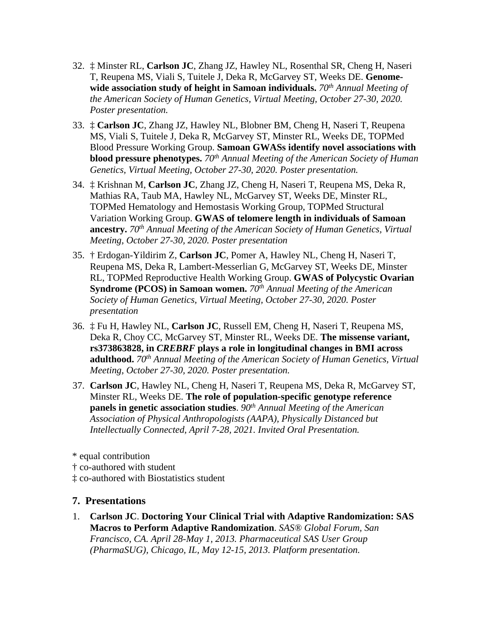- 32. ‡ Minster RL, **Carlson JC**, Zhang JZ, Hawley NL, Rosenthal SR, Cheng H, Naseri T, Reupena MS, Viali S, Tuitele J, Deka R, McGarvey ST, Weeks DE. **Genome**wide association study of height in Samoan individuals. 70<sup>th</sup> Annual Meeting of *the American Society of Human Genetics, Virtual Meeting, October 27-30, 2020. Poster presentation.*
- 33. ‡ **Carlson JC**, Zhang JZ, Hawley NL, Blobner BM, Cheng H, Naseri T, Reupena MS, Viali S, Tuitele J, Deka R, McGarvey ST, Minster RL, Weeks DE, TOPMed Blood Pressure Working Group. **Samoan GWASs identify novel associations with blood pressure phenotypes.** *70th Annual Meeting of the American Society of Human Genetics, Virtual Meeting, October 27-30, 2020. Poster presentation.*
- 34. ‡ Krishnan M, **Carlson JC**, Zhang JZ, Cheng H, Naseri T, Reupena MS, Deka R, Mathias RA, Taub MA, Hawley NL, McGarvey ST, Weeks DE, Minster RL, TOPMed Hematology and Hemostasis Working Group, TOPMed Structural Variation Working Group. **GWAS of telomere length in individuals of Samoan ancestry.** *70th Annual Meeting of the American Society of Human Genetics, Virtual Meeting, October 27-30, 2020. Poster presentation*
- 35. † Erdogan-Yildirim Z, **Carlson JC**, Pomer A, Hawley NL, Cheng H, Naseri T, Reupena MS, Deka R, Lambert-Messerlian G, McGarvey ST, Weeks DE, Minster RL, TOPMed Reproductive Health Working Group. **GWAS of Polycystic Ovarian Syndrome (PCOS) in Samoan women.** *70th Annual Meeting of the American Society of Human Genetics, Virtual Meeting, October 27-30, 2020. Poster presentation*
- 36. ‡ Fu H, Hawley NL, **Carlson JC**, Russell EM, Cheng H, Naseri T, Reupena MS, Deka R, Choy CC, McGarvey ST, Minster RL, Weeks DE. **The missense variant, rs373863828, in** *CREBRF* **plays a role in longitudinal changes in BMI across adulthood.** *70th Annual Meeting of the American Society of Human Genetics, Virtual Meeting, October 27-30, 2020. Poster presentation.*
- 37. **Carlson JC**, Hawley NL, Cheng H, Naseri T, Reupena MS, Deka R, McGarvey ST, Minster RL, Weeks DE. **The role of population-specific genotype reference panels in genetic association studies**. *90th Annual Meeting of the American Association of Physical Anthropologists (AAPA), Physically Distanced but Intellectually Connected, April 7-28, 2021. Invited Oral Presentation.*
- \* equal contribution
- † co-authored with student
- ‡ co-authored with Biostatistics student

#### **7. Presentations**

1. **Carlson JC**. **Doctoring Your Clinical Trial with Adaptive Randomization: SAS Macros to Perform Adaptive Randomization**. *SAS® Global Forum, San Francisco, CA. April 28-May 1, 2013. Pharmaceutical SAS User Group (PharmaSUG), Chicago, IL, May 12-15, 2013. Platform presentation.*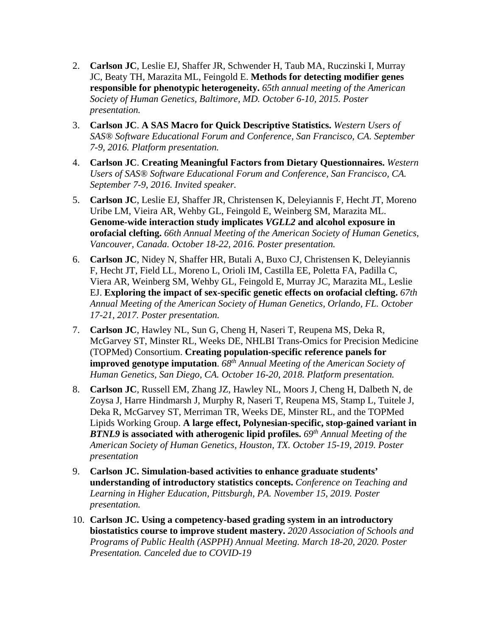- 2. **Carlson JC**, Leslie EJ, Shaffer JR, Schwender H, Taub MA, Ruczinski I, Murray JC, Beaty TH, Marazita ML, Feingold E. **Methods for detecting modifier genes responsible for phenotypic heterogeneity.** *65th annual meeting of the American Society of Human Genetics, Baltimore, MD. October 6-10, 2015. Poster presentation.*
- 3. **Carlson JC**. **A SAS Macro for Quick Descriptive Statistics.** *Western Users of SAS® Software Educational Forum and Conference, San Francisco, CA. September 7-9, 2016. Platform presentation.*
- 4. **Carlson JC**. **Creating Meaningful Factors from Dietary Questionnaires.** *Western Users of SAS® Software Educational Forum and Conference, San Francisco, CA. September 7-9, 2016. Invited speaker.*
- 5. **Carlson JC**, Leslie EJ, Shaffer JR, Christensen K, Deleyiannis F, Hecht JT, Moreno Uribe LM, Vieira AR, Wehby GL, Feingold E, Weinberg SM, Marazita ML. **Genome-wide interaction study implicates** *VGLL2* **and alcohol exposure in orofacial clefting.** *66th Annual Meeting of the American Society of Human Genetics, Vancouver, Canada. October 18-22, 2016. Poster presentation.*
- 6. **Carlson JC**, Nidey N, Shaffer HR, Butali A, Buxo CJ, Christensen K, Deleyiannis F, Hecht JT, Field LL, Moreno L, Orioli IM, Castilla EE, Poletta FA, Padilla C, Viera AR, Weinberg SM, Wehby GL, Feingold E, Murray JC, Marazita ML, Leslie EJ. **Exploring the impact of sex-specific genetic effects on orofacial clefting.** *67th Annual Meeting of the American Society of Human Genetics, Orlando, FL. October 17-21, 2017. Poster presentation.*
- 7. **Carlson JC**, Hawley NL, Sun G, Cheng H, Naseri T, Reupena MS, Deka R, McGarvey ST, Minster RL, Weeks DE, NHLBI Trans-Omics for Precision Medicine (TOPMed) Consortium. **Creating population-specific reference panels for improved genotype imputation**. *68th Annual Meeting of the American Society of Human Genetics, San Diego, CA. October 16-20, 2018. Platform presentation.*
- 8. **Carlson JC**, Russell EM, Zhang JZ, Hawley NL, Moors J, Cheng H, Dalbeth N, de Zoysa J, Harre Hindmarsh J, Murphy R, Naseri T, Reupena MS, Stamp L, Tuitele J, Deka R, McGarvey ST, Merriman TR, Weeks DE, Minster RL, and the TOPMed Lipids Working Group. **A large effect, Polynesian-specific, stop-gained variant in**  *BTNL9* **is associated with atherogenic lipid profiles.** *69th Annual Meeting of the American Society of Human Genetics, Houston, TX. October 15-19, 2019. Poster presentation*
- 9. **Carlson JC. Simulation-based activities to enhance graduate students' understanding of introductory statistics concepts.** *Conference on Teaching and Learning in Higher Education, Pittsburgh, PA. November 15, 2019. Poster presentation.*
- 10. **Carlson JC. Using a competency-based grading system in an introductory biostatistics course to improve student mastery.** *2020 Association of Schools and Programs of Public Health (ASPPH) Annual Meeting. March 18-20, 2020. Poster Presentation. Canceled due to COVID-19*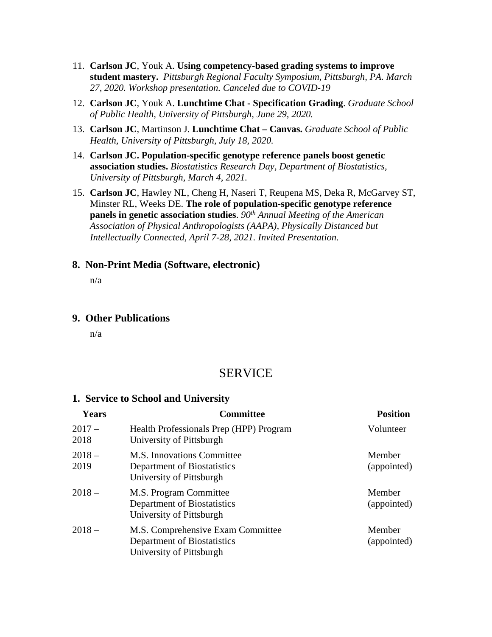- 11. **Carlson JC**, Youk A. **Using competency-based grading systems to improve student mastery.** *Pittsburgh Regional Faculty Symposium, Pittsburgh, PA. March 27, 2020. Workshop presentation. Canceled due to COVID-19*
- 12. **Carlson JC**, Youk A. **Lunchtime Chat - Specification Grading**. *Graduate School of Public Health, University of Pittsburgh, June 29, 2020.*
- 13. **Carlson JC**, Martinson J. **Lunchtime Chat – Canvas.** *Graduate School of Public Health, University of Pittsburgh, July 18, 2020.*
- 14. **Carlson JC. Population-specific genotype reference panels boost genetic association studies.** *Biostatistics Research Day, Department of Biostatistics, University of Pittsburgh, March 4, 2021.*
- 15. **Carlson JC**, Hawley NL, Cheng H, Naseri T, Reupena MS, Deka R, McGarvey ST, Minster RL, Weeks DE. **The role of population-specific genotype reference panels in genetic association studies**.  $90<sup>th</sup>$  *Annual Meeting of the American Association of Physical Anthropologists (AAPA), Physically Distanced but Intellectually Connected, April 7-28, 2021. Invited Presentation.*

#### **8. Non-Print Media (Software, electronic)**

n/a

#### **9. Other Publications**

n/a

### **SERVICE**

#### **1. Service to School and University**

| Years            | <b>Committee</b>                                                                             | <b>Position</b>       |
|------------------|----------------------------------------------------------------------------------------------|-----------------------|
| $2017 -$<br>2018 | Health Professionals Prep (HPP) Program<br>University of Pittsburgh                          | Volunteer             |
| $2018 -$<br>2019 | <b>M.S. Innovations Committee</b><br>Department of Biostatistics<br>University of Pittsburgh | Member<br>(appointed) |
| $2018 -$         | M.S. Program Committee<br>Department of Biostatistics<br>University of Pittsburgh            | Member<br>(appointed) |
| $2018 -$         | M.S. Comprehensive Exam Committee<br>Department of Biostatistics<br>University of Pittsburgh | Member<br>(appointed) |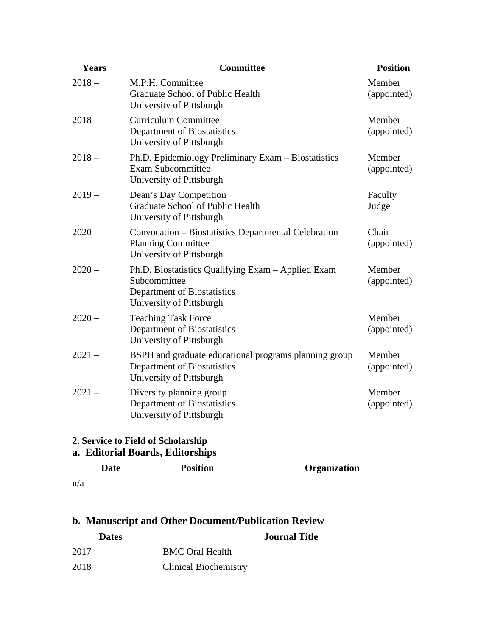| Years    | <b>Committee</b>                                                                                                              | <b>Position</b>       |
|----------|-------------------------------------------------------------------------------------------------------------------------------|-----------------------|
| $2018 -$ | M.P.H. Committee<br>Graduate School of Public Health<br>University of Pittsburgh                                              | Member<br>(appointed) |
| $2018 -$ | <b>Curriculum Committee</b><br>Department of Biostatistics<br>University of Pittsburgh                                        | Member<br>(appointed) |
| $2018 -$ | Ph.D. Epidemiology Preliminary Exam – Biostatistics<br><b>Exam Subcommittee</b><br>University of Pittsburgh                   | Member<br>(appointed) |
| $2019-$  | Dean's Day Competition<br>Graduate School of Public Health<br>University of Pittsburgh                                        | Faculty<br>Judge      |
| 2020     | Convocation – Biostatistics Departmental Celebration<br><b>Planning Committee</b><br>University of Pittsburgh                 | Chair<br>(appointed)  |
| $2020 -$ | Ph.D. Biostatistics Qualifying Exam – Applied Exam<br>Subcommittee<br>Department of Biostatistics<br>University of Pittsburgh | Member<br>(appointed) |
| $2020 -$ | <b>Teaching Task Force</b><br>Department of Biostatistics<br>University of Pittsburgh                                         | Member<br>(appointed) |
| $2021 -$ | BSPH and graduate educational programs planning group<br>Department of Biostatistics<br>University of Pittsburgh              | Member<br>(appointed) |
| $2021 -$ | Diversity planning group<br>Department of Biostatistics<br>University of Pittsburgh                                           | Member<br>(appointed) |

### **2. Service to Field of Scholarship**

### **a. Editorial Boards, Editorships**

|     | Date | <b>Position</b> | Organization |
|-----|------|-----------------|--------------|
| n/a |      |                 |              |

## **b. Manuscript and Other Document/Publication Review**

| <b>Dates</b> |                              | <b>Journal Title</b> |
|--------------|------------------------------|----------------------|
| 2017         | <b>BMC Oral Health</b>       |                      |
| 2018         | <b>Clinical Biochemistry</b> |                      |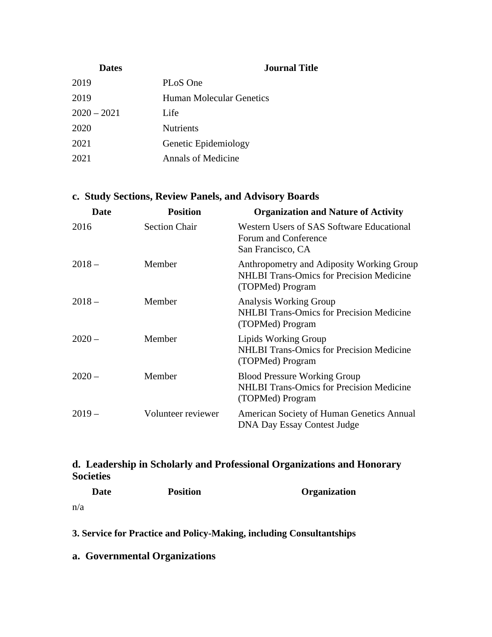| <b>Dates</b>  | <b>Journal Title</b>      |
|---------------|---------------------------|
| 2019          | PLoS One                  |
| 2019          | Human Molecular Genetics  |
| $2020 - 2021$ | Life                      |
| 2020          | <b>Nutrients</b>          |
| 2021          | Genetic Epidemiology      |
| 2021          | <b>Annals of Medicine</b> |

### **c. Study Sections, Review Panels, and Advisory Boards**

| <b>Date</b> | <b>Position</b>      | <b>Organization and Nature of Activity</b>                                                                       |
|-------------|----------------------|------------------------------------------------------------------------------------------------------------------|
| 2016        | <b>Section Chair</b> | Western Users of SAS Software Educational<br>Forum and Conference<br>San Francisco, CA                           |
| $2018 -$    | Member               | Anthropometry and Adiposity Working Group<br><b>NHLBI</b> Trans-Omics for Precision Medicine<br>(TOPMed) Program |
| $2018-$     | Member               | <b>Analysis Working Group</b><br><b>NHLBI</b> Trans-Omics for Precision Medicine<br>(TOPMed) Program             |
| $2020 -$    | Member               | Lipids Working Group<br><b>NHLBI Trans-Omics for Precision Medicine</b><br>(TOPMed) Program                      |
| $2020 -$    | Member               | <b>Blood Pressure Working Group</b><br><b>NHLBI Trans-Omics for Precision Medicine</b><br>(TOPMed) Program       |
| $2019-$     | Volunteer reviewer   | American Society of Human Genetics Annual<br><b>DNA Day Essay Contest Judge</b>                                  |

### **d. Leadership in Scholarly and Professional Organizations and Honorary Societies**

| <b>Date</b> | <b>Position</b> | <b>Organization</b> |
|-------------|-----------------|---------------------|
| n/a         |                 |                     |

**3. Service for Practice and Policy-Making, including Consultantships**

**a. Governmental Organizations**